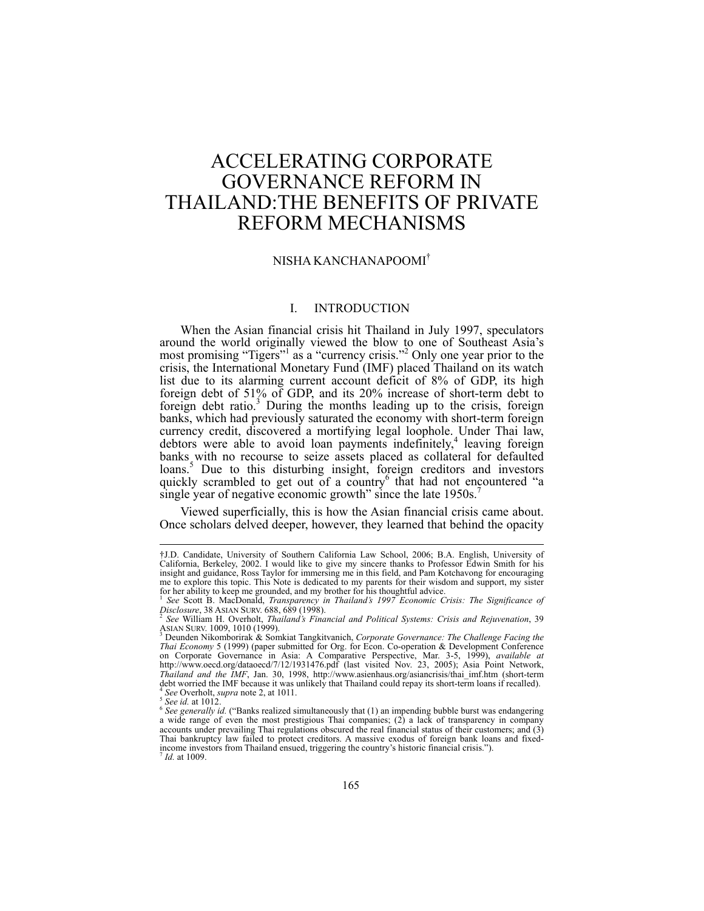# ACCELERATING CORPORATE GOVERNANCE REFORM IN THAILAND:THE BENEFITS OF PRIVATE REFORM MECHANISMS

# NISHA KANCHANAPOOMI†

## I. INTRODUCTION

When the Asian financial crisis hit Thailand in July 1997, speculators around the world originally viewed the blow to one of Southeast Asia's most promising "Tigers"<sup>1</sup> as a "currency crisis."<sup>2</sup> Only one year prior to the crisis, the International Monetary Fund (IMF) placed Thailand on its watch list due to its alarming current account deficit of 8% of GDP, its high foreign debt of 51% of GDP, and its 20% increase of short-term debt to foreign debt ratio.<sup>3</sup> During the months leading up to the crisis, foreign banks, which had previously saturated the economy with short-term foreign currency credit, discovered a mortifying legal loophole. Under Thai law, debtors were able to avoid loan payments indefinitely,<sup>4</sup> leaving foreign banks with no recourse to seize assets placed as collateral for defaulted loans.<sup>5</sup> Due to this disturbing insight, foreign creditors and investors quickly scrambled to get out of a country<sup>6</sup> that had not encountered "a single year of negative economic growth" since the late 1950s.<sup>7</sup>

Viewed superficially, this is how the Asian financial crisis came about. Once scholars delved deeper, however, they learned that behind the opacity

<sup>†</sup>J.D. Candidate, University of Southern California Law School, 2006; B.A. English, University of California, Berkeley, 2002. I would like to give my sincere thanks to Professor Edwin Smith for his insight and guidance, Ross Taylor for immersing me in this field, and Pam Kotchavong for encouraging me to explore this topic. This Note is dedicated to my parents for their wisdom and support, my sister for her ability to keep me grounded, and my brother for his thoughtful advice. for her ability to keep me grounded, and my brother for his thoughtful advice.<br><sup>1</sup> *See* Scott B. MacDonald, *Transparency in Thailand's 1997 Economic Crisis: The Significance of* 

*Disclosure*, 38 ASIAN SURV. 688, 689 (1998). 2 *See* William H. Overholt, *Thailand's Financial and Political Systems: Crisis and Rejuvenation*, 39

Asian Surv. 1009, 1010 (1999).<br><sup>3</sup> Deunden Nikomborirak & Somkiat Tangkitvanich, *Corporate Governance: The Challenge Facing the* 

*Thai Economy* 5 (1999) (paper submitted for Org. for Econ. Co-operation & Development Conference on Corporate Governance in Asia: A Comparative Perspective, Mar. 3-5, 1999), *available at* http://www.oecd.org/dataoecd/7/12/1931476.pdf (last visited Nov. 23, 2005); Asia Point Network, *Thailand and the IMF*, Jan. 30, 1998, http://www.asienhaus.org/asiancrisis/thai\_imf.htm (short-term debt worried the IMF because it was unlikely that Thailand could repay its short-term loans if recalled). debt worried the IMF because it was unlikely that Thailand could repay its short-term loans if recalled).<br><sup>4</sup> See Overholt, *supra* note 2, at 1011.<br><sup>5</sup> See *id.* at 1012.<br><sup>6</sup> See generally id. ("Banks realized simultaneo

accounts under prevailing Thai regulations obscured the real financial status of their customers; and (3) Thai bankruptcy law failed to protect creditors. A massive exodus of foreign bank loans and fixed-<br>income investors from Thailand ensued, triggering the country's historic financial crisis.").<br><sup>7</sup> *Id.* at 1009.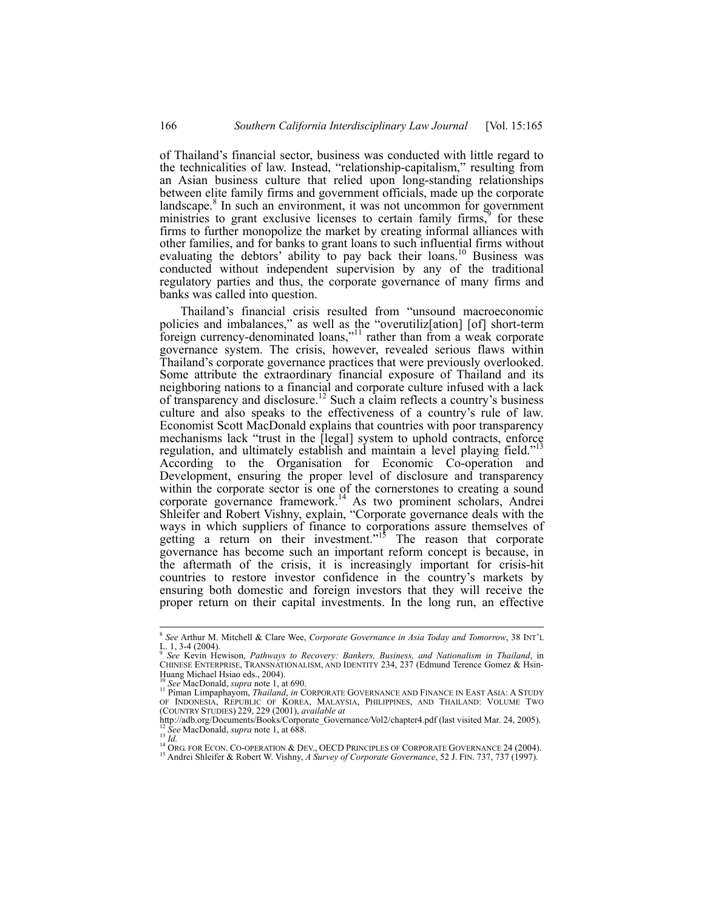of Thailand's financial sector, business was conducted with little regard to the technicalities of law. Instead, "relationship-capitalism," resulting from an Asian business culture that relied upon long-standing relationships between elite family firms and government officials, made up the corporate landscape.<sup>8</sup> In such an environment, it was not uncommon for government ministries to grant exclusive licenses to certain family firms, $\frac{1}{2}$  for these firms to further monopolize the market by creating informal alliances with other families, and for banks to grant loans to such influential firms without evaluating the debtors' ability to pay back their loans.<sup>10</sup> Business was conducted without independent supervision by any of the traditional regulatory parties and thus, the corporate governance of many firms and banks was called into question.

Thailand's financial crisis resulted from "unsound macroeconomic policies and imbalances," as well as the "overutiliz[ation] [of] short-term foreign currency-denominated loans,"<sup>11</sup> rather than from a weak corporate governance system. The crisis, however, revealed serious flaws within Thailand's corporate governance practices that were previously overlooked. Some attribute the extraordinary financial exposure of Thailand and its neighboring nations to a financial and corporate culture infused with a lack of transparency and disclosure.<sup>12</sup> Such a claim reflects a country's business culture and also speaks to the effectiveness of a country's rule of law. Economist Scott MacDonald explains that countries with poor transparency mechanisms lack "trust in the [legal] system to uphold contracts, enforce regulation, and ultimately establish and maintain a level playing field." According to the Organisation for Economic Co-operation and Development, ensuring the proper level of disclosure and transparency within the corporate sector is one of the cornerstones to creating a sound corporate governance framework.14 As two prominent scholars, Andrei Shleifer and Robert Vishny, explain, "Corporate governance deals with the ways in which suppliers of finance to corporations assure themselves of getting a return on their investment."<sup>15</sup> The reason that corporate governance has become such an important reform concept is because, in the aftermath of the crisis, it is increasingly important for crisis-hit countries to restore investor confidence in the country's markets by ensuring both domestic and foreign investors that they will receive the proper return on their capital investments. In the long run, an effective

<sup>8</sup> *See* Arthur M. Mitchell & Clare Wee, *Corporate Governance in Asia Today and Tomorrow*, 38 INT'L L. 1, 3-4 (2004).

<sup>9</sup> *See* Kevin Hewison, *Pathways to Recovery: Bankers, Business, and Nationalism in Thailand*, in CHINESE ENTERPRISE, TRANSNATIONALISM, AND IDENTITY 234, 237 (Edmund Terence Gomez & Hsin-Huang Michael Hsiao eds., 2004).<br><sup>10</sup> See MacDonald, *supra* note 1, at 690.

<sup>10</sup> *See* MacDonald, *supra* note 1, at 690. 11 Piman Limpaphayom, *Thailand*, *in* CORPORATE GOVERNANCE AND FINANCE IN EAST ASIA: <sup>A</sup> STUDY OF INDONESIA, REPUBLIC OF KOREA, MALAYSIA, PHILIPPINES, AND THAILAND: VOLUME TWO (COUNTRY STUDIES) 229, 229 (2001), *available at*

The MacDonald, *supra* note 1, at 688.<br>
<sup>13</sup> *See MacDonald, supra* note 1, at 688.<br>
<sup>14</sup> *ORG. FOR ECON. CO-OPERATION & DEV., OECD PRINCIPLES OF CORPORATE GOVERNANCE 24 (2004).*<br>
<sup>15</sup> *Andrei Shleifer & Robert W. Vishny,*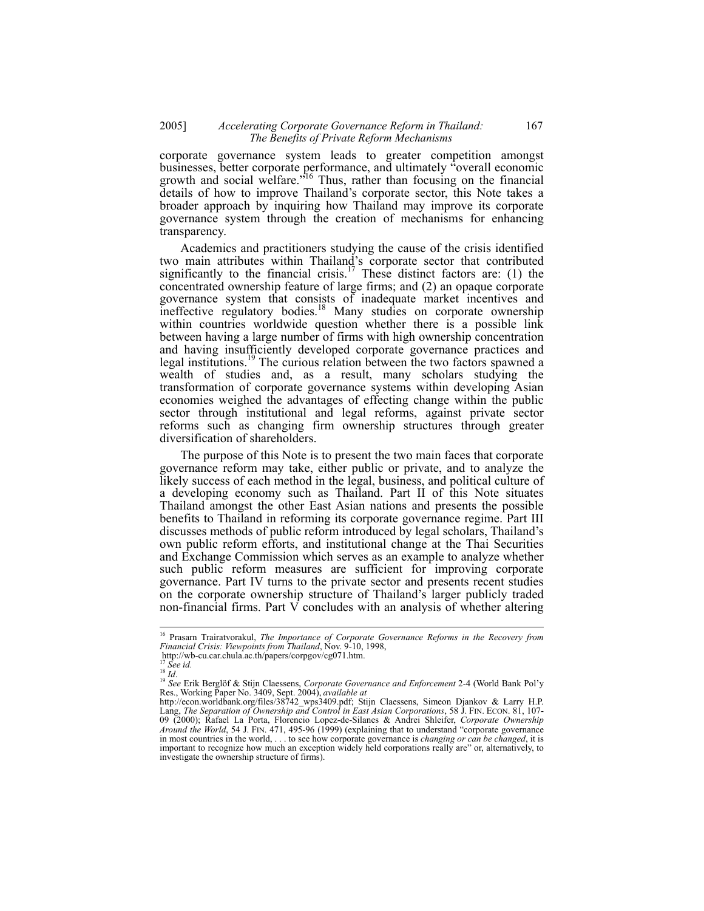corporate governance system leads to greater competition amongst businesses, better corporate performance, and ultimately "overall economic growth and social welfare.<sup>"16</sup> Thus, rather than focusing on the financial details of how to improve Thailand's corporate sector, this Note takes a broader approach by inquiring how Thailand may improve its corporate governance system through the creation of mechanisms for enhancing transparency.

Academics and practitioners studying the cause of the crisis identified two main attributes within Thailand's corporate sector that contributed significantly to the financial crisis.<sup>17</sup> These distinct factors are: (1) the concentrated ownership feature of large firms; and (2) an opaque corporate governance system that consists of inadequate market incentives and ineffective regulatory bodies.<sup>18</sup> Many studies on corporate ownership within countries worldwide question whether there is a possible link between having a large number of firms with high ownership concentration and having insufficiently developed corporate governance practices and legal institutions.<sup>19</sup> The curious relation between the two factors spawned a wealth of studies and, as a result, many scholars studying the transformation of corporate governance systems within developing Asian economies weighed the advantages of effecting change within the public sector through institutional and legal reforms, against private sector reforms such as changing firm ownership structures through greater diversification of shareholders.

The purpose of this Note is to present the two main faces that corporate governance reform may take, either public or private, and to analyze the likely success of each method in the legal, business, and political culture of a developing economy such as Thailand. Part II of this Note situates Thailand amongst the other East Asian nations and presents the possible benefits to Thailand in reforming its corporate governance regime. Part III discusses methods of public reform introduced by legal scholars, Thailand's own public reform efforts, and institutional change at the Thai Securities and Exchange Commission which serves as an example to analyze whether such public reform measures are sufficient for improving corporate governance. Part IV turns to the private sector and presents recent studies on the corporate ownership structure of Thailand's larger publicly traded non-financial firms. Part  $V$  concludes with an analysis of whether altering

<sup>16</sup> Prasarn Trairatvorakul, *The Importance of Corporate Governance Reforms in the Recovery from Financial Crisis: Viewpoints from Thailand*, Nov. 9-10, 1998,<br>http://wb-cu.car.chula.ac.th/papers/corpgov/cg071.htm.

http://wb-cu.car.chula.ac.th/papers/corpgov/cg071.htm.<br><sup>17</sup> *See id.*<br><sup>18</sup> *Id.*<br><sup>18</sup> *Id.*<br><sup>19</sup> *See* Erik Berglöf & Stijn Claessens, *Corporate Governance and Enforcement* 2-4 (World Bank Pol'y<br>Res., Working Paper No. 34

http://econ.worldbank.org/files/38742\_wps3409.pdf; Stijn Claessens, Simeon Djankov & Larry H.P. Lang, *The Separation of Ownership and Control in East Asian Corporations*, 58 J. FIN. ECON. 81, 107- 09 (2000); Rafael La Porta, Florencio Lopez-de-Silanes & Andrei Shleifer, *Corporate Ownership Around the World*, 54 J. FIN. 471, 495-96 (1999) (explaining that to understand "corporate governance in most countries in the world, . . . to see how corporate governance is *changing or can be changed*, it is important to recognize how much an exception widely held corporations really are" or, alternatively, to investigate the ownership structure of firms).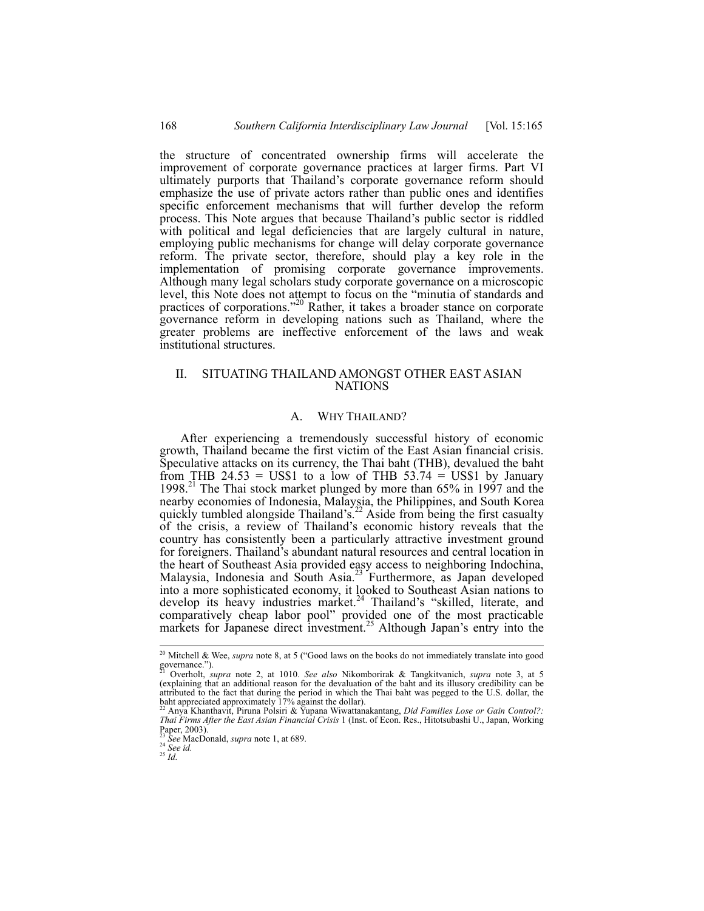the structure of concentrated ownership firms will accelerate the improvement of corporate governance practices at larger firms. Part VI ultimately purports that Thailand's corporate governance reform should emphasize the use of private actors rather than public ones and identifies specific enforcement mechanisms that will further develop the reform process. This Note argues that because Thailand's public sector is riddled with political and legal deficiencies that are largely cultural in nature, employing public mechanisms for change will delay corporate governance reform. The private sector, therefore, should play a key role in the implementation of promising corporate governance improvements. Although many legal scholars study corporate governance on a microscopic level, this Note does not attempt to focus on the "minutia of standards and practices of corporations."20 Rather, it takes a broader stance on corporate governance reform in developing nations such as Thailand, where the greater problems are ineffective enforcement of the laws and weak institutional structures.

# II. SITUATING THAILAND AMONGST OTHER EAST ASIAN **NATIONS**

#### A. WHY THAILAND?

After experiencing a tremendously successful history of economic growth, Thailand became the first victim of the East Asian financial crisis. Speculative attacks on its currency, the Thai baht (THB), devalued the baht from THB 24.53 = US\$1 to a low of THB 53.74 = US\$1 by January 1998.21 The Thai stock market plunged by more than 65% in 1997 and the nearby economies of Indonesia, Malaysia, the Philippines, and South Korea quickly tumbled alongside Thailand's.<sup>22</sup> Aside from being the first casualty of the crisis, a review of Thailand's economic history reveals that the country has consistently been a particularly attractive investment ground for foreigners. Thailand's abundant natural resources and central location in the heart of Southeast Asia provided easy access to neighboring Indochina, Malaysia, Indonesia and South Asia.<sup>23</sup> Furthermore, as Japan developed into a more sophisticated economy, it looked to Southeast Asian nations to develop its heavy industries market.<sup>24</sup> Thailand's "skilled, literate, and comparatively cheap labor pool" provided one of the most practicable markets for Japanese direct investment.<sup>25</sup> Although Japan's entry into the

<sup>20</sup> Mitchell & Wee, *supra* note 8, at 5 ("Good laws on the books do not immediately translate into good governance.").

<sup>21</sup> Overholt, *supra* note 2, at 1010. *See also* Nikomborirak & Tangkitvanich, *supra* note 3, at 5 (explaining that an additional reason for the devaluation of the baht and its illusory credibility can be attributed to the fact that during the period in which the Thai baht was pegged to the U.S. dollar, the baht appreciated approximately 17% against the dollar).

<sup>22</sup> Anya Khanthavit, Piruna Polsiri & Yupana Wiwattanakantang, *Did Families Lose or Gain Control?: Thai Firms After the East Asian Financial Crisis* 1 (Inst. of Econ. Res., Hitotsubashi U., Japan, Working Paper, 2003).

<sup>23</sup> *See* MacDonald, *supra* note 1, at 689. 24 *See id.* <sup>25</sup> *Id.*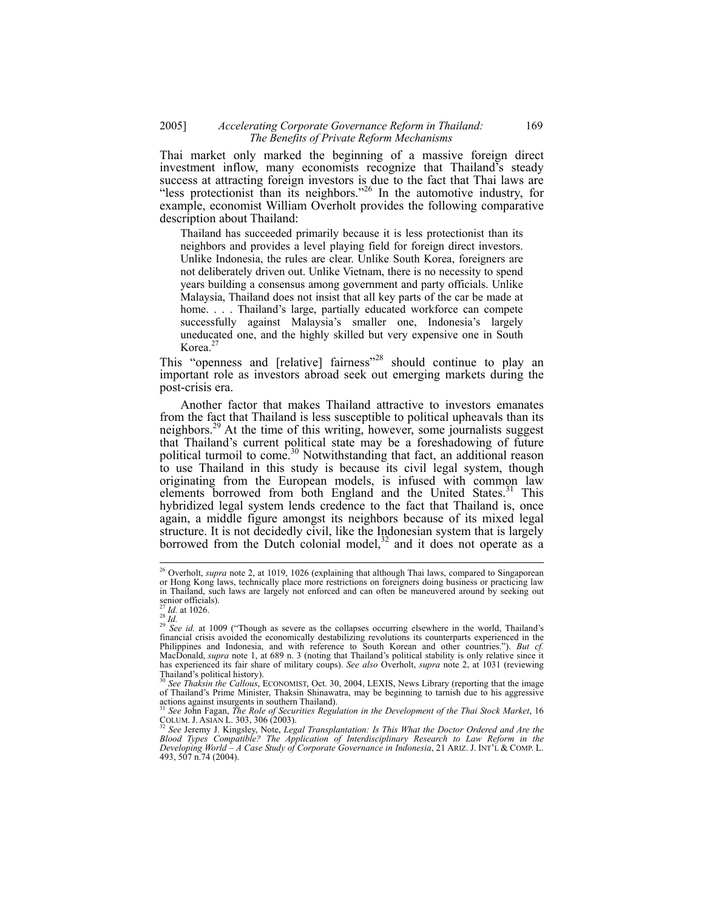## 2005] *Accelerating Corporate Governance Reform in Thailand:* 169  *The Benefits of Private Reform Mechanisms*

Thai market only marked the beginning of a massive foreign direct investment inflow, many economists recognize that Thailand's steady success at attracting foreign investors is due to the fact that Thai laws are "less protectionist than its neighbors."26 In the automotive industry, for example, economist William Overholt provides the following comparative description about Thailand:

Thailand has succeeded primarily because it is less protectionist than its neighbors and provides a level playing field for foreign direct investors. Unlike Indonesia, the rules are clear. Unlike South Korea, foreigners are not deliberately driven out. Unlike Vietnam, there is no necessity to spend years building a consensus among government and party officials. Unlike Malaysia, Thailand does not insist that all key parts of the car be made at home. . . . Thailand's large, partially educated workforce can compete successfully against Malaysia's smaller one, Indonesia's largely uneducated one, and the highly skilled but very expensive one in South Korea. $27$ 

This "openness and [relative] fairness"<sup>28</sup> should continue to play an important role as investors abroad seek out emerging markets during the post-crisis era.

Another factor that makes Thailand attractive to investors emanates from the fact that Thailand is less susceptible to political upheavals than its neighbors.<sup>29</sup> At the time of this writing, however, some journalists suggest that Thailand's current political state may be a foreshadowing of future political turmoil to come.<sup>30</sup> Notwithstanding that fact, an additional reason to use Thailand in this study is because its civil legal system, though originating from the European models, is infused with common law elements borrowed from both England and the United States.<sup>31</sup> This hybridized legal system lends credence to the fact that Thailand is, once again, a middle figure amongst its neighbors because of its mixed legal structure. It is not decidedly civil, like the Indonesian system that is largely borrowed from the Dutch colonial model, $32$  and it does not operate as a

<sup>26</sup> Overholt, *supra* note 2, at 1019, 1026 (explaining that although Thai laws, compared to Singaporean or Hong Kong laws, technically place more restrictions on foreigners doing business or practicing law in Thailand, such laws are largely not enforced and can often be maneuvered around by seeking out senior officials).

<sup>&</sup>lt;sup>27</sup> *Id.* at 1026.<br><sup>28</sup> *Id.* at 1026.<br><sup>29</sup> *See id.* at 1009 ("Though as severe as the collapses occurring elsewhere in the world, Thailand's<br><sup>29</sup> *See id.* at 1009 ("Though as severe as the collapses occurring elsewhere financial crisis avoided the economically destabilizing revolutions its counterparts experienced in the Philippines and Indonesia, and with reference to South Korean and other countries."). *But cf.* MacDonald, *supra* note 1, at 689 n. 3 (noting that Thailand's political stability is only relative since it has experienced its fair share of military coups). *See also* Overholt, *supra* note 2, at 1031 (reviewing Thailand's political history).

<sup>&</sup>lt;sup>30</sup> See *Thaksin the Callous*, ECONOMIST, Oct. 30, 2004, LEXIS, News Library (reporting that the image of Thailand's Prime Minister, Thaksin Shinawatra, may be beginning to tarnish due to his aggressive actions against insurgents in southern Thailand).<br><sup>31</sup> *See* John Fagan, *The Role of Securities Regulation in the Development of the Thai Stock Market*, 16

COLUM. J. ASIAN L. 303, 306 (2003).<br><sup>32</sup> See Jeremy J. Kingsley, Note, *Legal Transplantation: Is This What the Doctor Ordered and Are the* 

*Blood Types Compatible? The Application of Interdisciplinary Research to Law Reform in the Developing World – A Case Study of Corporate Governance in Indonesia*, 21 ARIZ. J. INT'L & COMP. L. 493, 507 n.74 (2004).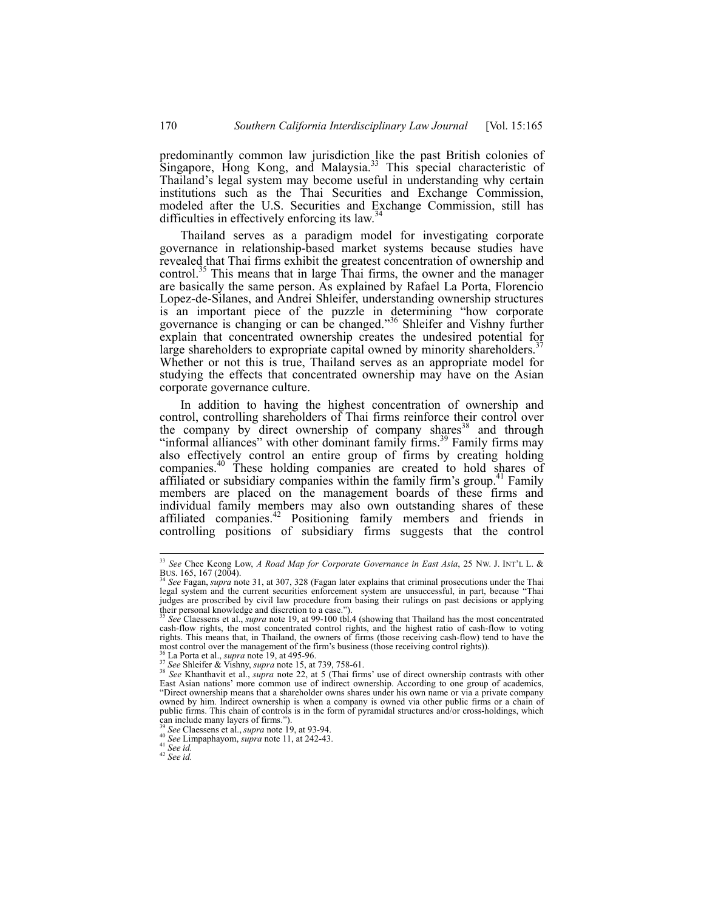predominantly common law jurisdiction like the past British colonies of Singapore, Hong Kong, and Malaysia.<sup>33</sup> This special characteristic of Thailand's legal system may become useful in understanding why certain institutions such as the Thai Securities and Exchange Commission, modeled after the U.S. Securities and Exchange Commission, still has difficulties in effectively enforcing its law.<sup>34</sup>

Thailand serves as a paradigm model for investigating corporate governance in relationship-based market systems because studies have revealed that Thai firms exhibit the greatest concentration of ownership and control.<sup>35</sup> This means that in large Thai firms, the owner and the manager are basically the same person. As explained by Rafael La Porta, Florencio Lopez-de-Silanes, and Andrei Shleifer, understanding ownership structures is an important piece of the puzzle in determining "how corporate governance is changing or can be changed."36 Shleifer and Vishny further explain that concentrated ownership creates the undesired potential for large shareholders to expropriate capital owned by minority shareholders.<sup>37</sup> Whether or not this is true, Thailand serves as an appropriate model for studying the effects that concentrated ownership may have on the Asian corporate governance culture.

In addition to having the highest concentration of ownership and control, controlling shareholders of Thai firms reinforce their control over the company by direct ownership of company shares<sup>38</sup> and through "informal alliances" with other dominant family firms.<sup>39</sup> Family firms may also effectively control an entire group of firms by creating holding companies.<sup>40</sup> These holding companies are created to hold shares of affiliated or subsidiary companies within the family firm's group.<sup>41</sup> Family members are placed on the management boards of these firms and individual family members may also own outstanding shares of these affiliated companies.<sup>42</sup> Positioning family members and friends in controlling positions of subsidiary firms suggests that the control

<sup>33</sup> *See* Chee Keong Low, *A Road Map for Corporate Governance in East Asia*, 25 NW. J. INT'L L. & BUS. 165, 167 (2004). 34 *See* Fagan, *supra* note 31, at 307, 328 (Fagan later explains that criminal prosecutions under the Thai

legal system and the current securities enforcement system are unsuccessful, in part, because "Thai judges are proscribed by civil law procedure from basing their rulings on past decisions or applying their personal knowledge and discretion to a case."

See Claessens et al., *supra* note 19, at 99-100 tbl.4 (showing that Thailand has the most concentrated cash-flow rights, the most concentrated control rights, and the highest ratio of cash-flow to voting rights. This means that, in Thailand, the owners of firms (those receiving cash-flow) tend to have the most control over the management of the firm's business (those receiving control rights)).

<sup>&</sup>lt;sup>36</sup> La Porta et al., *supra* note 19, at 495-96.<br><sup>37</sup> See Shleifer & Vishny, *supra* note 15, at 739, 758-61.<br><sup>38</sup> See Khanthavit et al., *supra* note 15, at 739, 758-61. East Asian nations' more common use of indirect ownership. According to one group of academics, "Direct ownership means that a shareholder owns shares under his own name or via a private company owned by him. Indirect ownership is when a company is owned via other public firms or a chain of public firms. This chain of controls is in the form of pyramidal structures and/or cross-holdings, which can include many layers of firms.").<br> $^{39}$ <br> $^{39}$  See Claessens et al., *supra* note 19, at 93-94.

<sup>39</sup> *See* Claessens et al., *supra* note 19, at 93-94. 40 *See* Limpaphayom, *supra* note 11, at 242-43. 41 *See id.* <sup>42</sup> *See id.*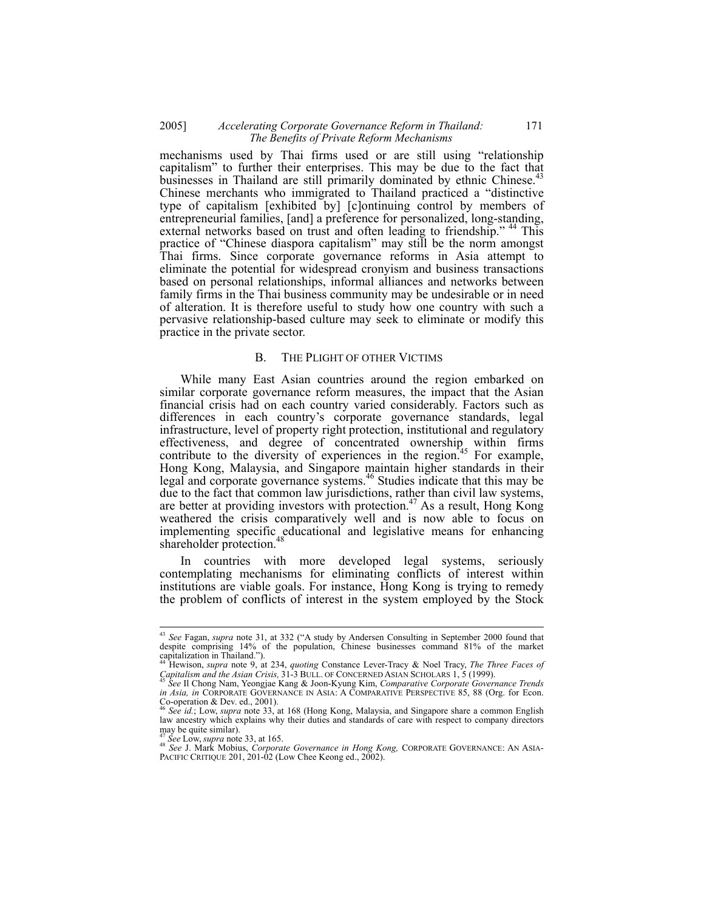## 2005] *Accelerating Corporate Governance Reform in Thailand:* 171  *The Benefits of Private Reform Mechanisms*

mechanisms used by Thai firms used or are still using "relationship capitalism" to further their enterprises. This may be due to the fact that businesses in Thailand are still primarily dominated by ethnic Chinese.<sup>43</sup> Chinese merchants who immigrated to Thailand practiced a "distinctive type of capitalism [exhibited by] [c]ontinuing control by members of entrepreneurial families, [and] a preference for personalized, long-standing, external networks based on trust and often leading to friendship."<sup>44</sup> This practice of "Chinese diaspora capitalism" may still be the norm amongst Thai firms. Since corporate governance reforms in Asia attempt to eliminate the potential for widespread cronyism and business transactions based on personal relationships, informal alliances and networks between family firms in the Thai business community may be undesirable or in need of alteration. It is therefore useful to study how one country with such a pervasive relationship-based culture may seek to eliminate or modify this practice in the private sector.

#### B. THE PLIGHT OF OTHER VICTIMS

While many East Asian countries around the region embarked on similar corporate governance reform measures, the impact that the Asian financial crisis had on each country varied considerably. Factors such as differences in each country's corporate governance standards, legal infrastructure, level of property right protection, institutional and regulatory effectiveness, and degree of concentrated ownership within firms contribute to the diversity of experiences in the region.<sup>45</sup> For example, Hong Kong, Malaysia, and Singapore maintain higher standards in their legal and corporate governance systems.<sup>46</sup> Studies indicate that this may be due to the fact that common law jurisdictions, rather than civil law systems, are better at providing investors with protection.<sup>47</sup> As a result, Hong Kong weathered the crisis comparatively well and is now able to focus on implementing specific educational and legislative means for enhancing shareholder protection.<sup>4</sup>

In countries with more developed legal systems, seriously contemplating mechanisms for eliminating conflicts of interest within institutions are viable goals. For instance, Hong Kong is trying to remedy the problem of conflicts of interest in the system employed by the Stock

<sup>43</sup> *See* Fagan, *supra* note 31, at 332 ("A study by Andersen Consulting in September 2000 found that despite comprising 14% of the population, Chinese businesses command 81% of the market capitalization in Thailand."). 44 Hewison, *supra* note 9, at 234, *quoting* Constance Lever-Tracy & Noel Tracy, *The Three Faces of* 

*Capitalism and the Asian Crisis,* 31-3 BULL. OF CONCERNED ASIAN SCHOLARS 1, 5 (1999). 45 *See* Il Chong Nam, Yeongjae Kang & Joon-Kyung Kim, *Comparative Corporate Governance Trends* 

*in Asia, in* CORPORATE GOVERNANCE IN ASIA: A COMPARATIVE PERSPECTIVE 85, 88 (Org. for Econ. Co-operation & Dev. ed., 2001).

<sup>46</sup> *See id.*; Low, *supra* note 33, at 168 (Hong Kong, Malaysia, and Singapore share a common English law ancestry which explains why their duties and standards of care with respect to company directors may be quite similar).  $\frac{1}{47}$  See Low, supra note 33, at 165.

<sup>&</sup>lt;sup>47</sup> See Low, *supra* note 33, at 165.<br><sup>48</sup> See J. Mark Mobius, *Corporate Governance in Hong Kong, C*ORPORATE GOVERNANCE: AN ASIA-PACIFIC CRITIQUE 201, 201-02 (Low Chee Keong ed., 2002).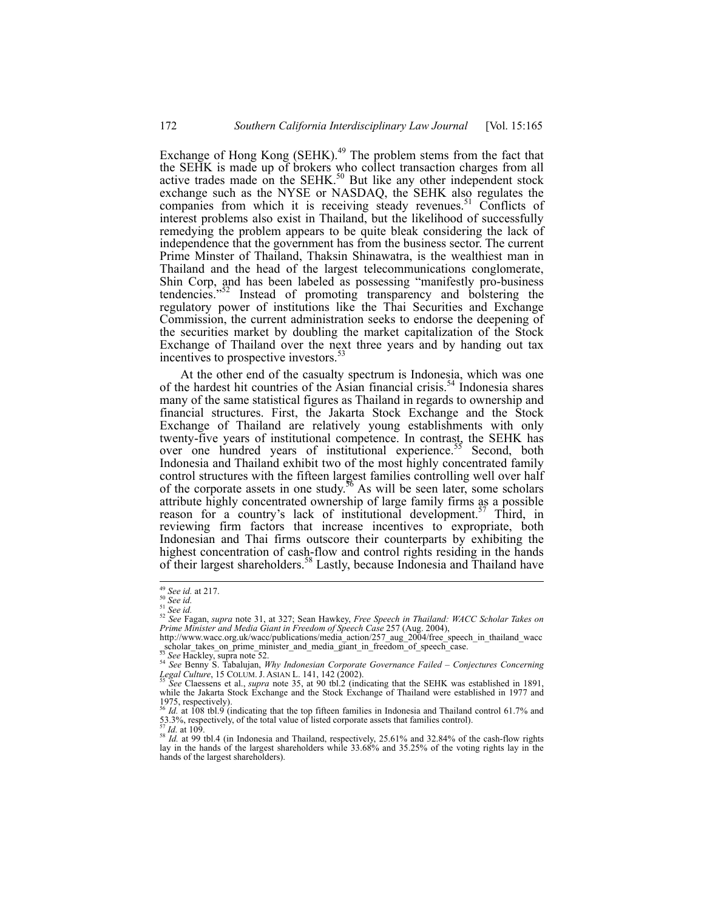Exchange of Hong Kong (SEHK). $49$  The problem stems from the fact that the SEHK is made up of brokers who collect transaction charges from all active trades made on the SEHK.<sup>50</sup> But like any other independent stock exchange such as the NYSE or NASDAQ, the SEHK also regulates the companies from which it is receiving steady revenues.<sup>51</sup> Conflicts of interest problems also exist in Thailand, but the likelihood of successfully remedying the problem appears to be quite bleak considering the lack of independence that the government has from the business sector. The current Prime Minster of Thailand, Thaksin Shinawatra, is the wealthiest man in Thailand and the head of the largest telecommunications conglomerate, Shin Corp, and has been labeled as possessing "manifestly pro-business tendencies."<sup>52</sup> Instead of promoting transparency and bolstering the regulatory power of institutions like the Thai Securities and Exchange Commission, the current administration seeks to endorse the deepening of the securities market by doubling the market capitalization of the Stock Exchange of Thailand over the next three years and by handing out tax incentives to prospective investors.<sup>53</sup>

At the other end of the casualty spectrum is Indonesia, which was one of the hardest hit countries of the Asian financial crisis.<sup>54</sup> Indonesia shares many of the same statistical figures as Thailand in regards to ownership and financial structures. First, the Jakarta Stock Exchange and the Stock Exchange of Thailand are relatively young establishments with only twenty-five years of institutional competence. In contrast, the SEHK has over one hundred years of institutional experience.<sup>55</sup> Second, both Indonesia and Thailand exhibit two of the most highly concentrated family control structures with the fifteen largest families controlling well over half of the corporate assets in one study.<sup>56</sup> As will be seen later, some scholars attribute highly concentrated ownership of large family firms as a possible reason for a country's lack of institutional development.<sup>57</sup> Third, in reviewing firm factors that increase incentives to expropriate, both Indonesian and Thai firms outscore their counterparts by exhibiting the highest concentration of cash-flow and control rights residing in the hands of their largest shareholders.58 Lastly, because Indonesia and Thailand have

<sup>&</sup>lt;sup>49</sup> See id. at 217.<br><sup>51</sup> See id.<br><sup>51</sup> See id.<br><sup>52</sup> See Fagan, supra note 31, at 327; Sean Hawkey, Free Speech in Thailand: WACC Scholar Takes on<br>Prime Minister and Media Giant in Freedom of Speech Case 257 (Aug. 2004),<br>Pr

scholar\_takes\_on\_prime\_minister\_and\_media\_giant\_in\_freedom\_of\_speech\_case.<br><sup>53</sup> See Hackley, supra note 52.<br>*54 See* Benny S. Tabalujan, *Why Indonesian Corporate Governance Failed – Conjectures Concerning Legal Culture*,

*Legal Culture, 15 COLUMBRAN LEGAL L. 141, 141, 141, 141, 141, 141, 141, 144, 144, 144, 144, 144, 144, 144, 144, 144, 144, 144, 144, 144, 144, 144, 144, 144, 144, 144, 144, 144, 144, 144, 144, 144, 144, 144, 144, 144, 144,* while the Jakarta Stock Exchange and the Stock Exchange of Thailand were established in 1977 and  $1975$ , respectively).

<sup>56</sup> *Id.* at 108 tbl.9 (indicating that the top fifteen families in Indonesia and Thailand control 61.7% and 53.3%, respectively, of the total value of listed corporate assets that families control).

<sup>53.3%,</sup> respectively, of the total value of listed corporate assets that families control).<br><sup>57</sup>*Id.* at 109.<br><sup>58</sup>*Id.* at 99 tbl.4 (in Indonesia and Thailand, respectively, 25.61% and 32.84% of the cash-flow rights lay in hands of the largest shareholders).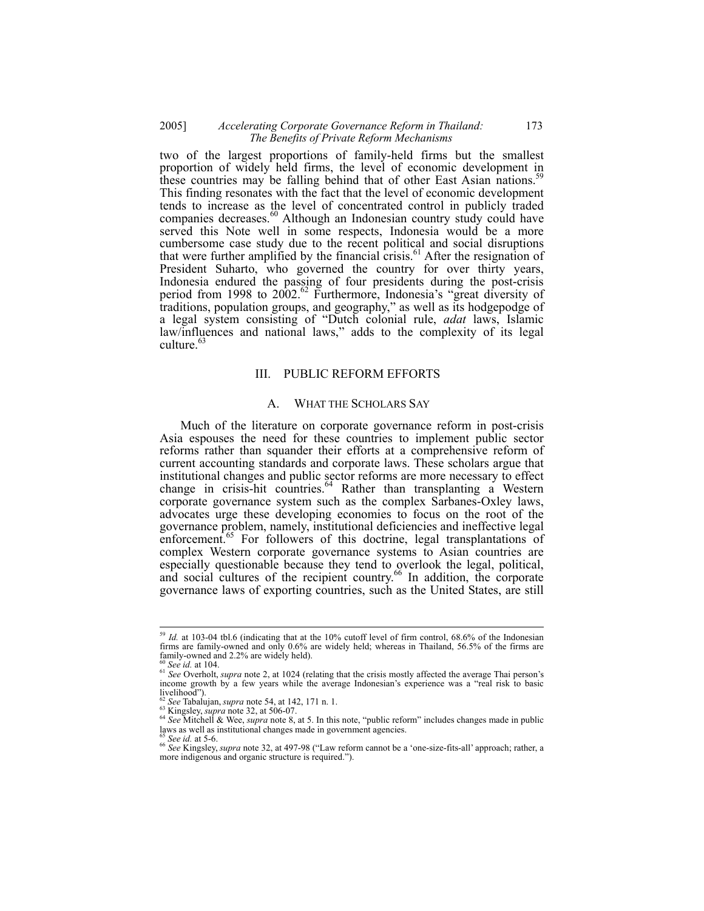## 2005] *Accelerating Corporate Governance Reform in Thailand:* 173  *The Benefits of Private Reform Mechanisms*

two of the largest proportions of family-held firms but the smallest proportion of widely held firms, the level of economic development in these countries may be falling behind that of other East Asian nations.<sup>59</sup> This finding resonates with the fact that the level of economic development tends to increase as the level of concentrated control in publicly traded companies decreases.<sup>60</sup> Although an Indonesian country study could have served this Note well in some respects, Indonesia would be a more cumbersome case study due to the recent political and social disruptions that were further amplified by the financial crisis.<sup>61</sup> After the resignation of President Suharto, who governed the country for over thirty years, Indonesia endured the passing of four presidents during the post-crisis period from 1998 to 2002.<sup>62</sup> Furthermore, Indonesia's "great diversity of traditions, population groups, and geography," as well as its hodgepodge of a legal system consisting of "Dutch colonial rule, *adat* laws, Islamic law/influences and national laws," adds to the complexity of its legal culture.<sup>63</sup>

## III. PUBLIC REFORM EFFORTS

## A. WHAT THE SCHOLARS SAY

Much of the literature on corporate governance reform in post-crisis Asia espouses the need for these countries to implement public sector reforms rather than squander their efforts at a comprehensive reform of current accounting standards and corporate laws. These scholars argue that institutional changes and public sector reforms are more necessary to effect change in crisis-hit countries. $64$  Rather than transplanting a Western corporate governance system such as the complex Sarbanes-Oxley laws, advocates urge these developing economies to focus on the root of the governance problem, namely, institutional deficiencies and ineffective legal enforcement.<sup>65</sup> For followers of this doctrine, legal transplantations of complex Western corporate governance systems to Asian countries are especially questionable because they tend to overlook the legal, political, and social cultures of the recipient country.<sup>66</sup> In addition, the corporate governance laws of exporting countries, such as the United States, are still

<sup>59</sup> *Id.* at 103-04 tbl.6 (indicating that at the 10% cutoff level of firm control, 68.6% of the Indonesian firms are family-owned and only 0.6% are widely held; whereas in Thailand, 56.5% of the firms are family-owned and 2.2% are widely held).<br><sup>60</sup> See id. at 104.

<sup>&</sup>lt;sup>61</sup> *See* Overholt, *supra* note 2, at 1024 (relating that the crisis mostly affected the average Thai person's income growth by a few years while the average Indonesian's experience was a "real risk to basic livelihood").<br> $^{62}$  See Tabalujan, *supra* note 54, at 142, 171 n. 1.

be rational, say is a second of  $\frac{63}{22}$  at 506-07.<br>
Wingsley, supra note 32, at 506-07.<br>
See Mitchell & Wee, supra note 8, at 5. In this note, "public reform" includes changes made in public<br>
laws as well as instituti

<sup>&</sup>lt;sup>65</sup> See id. at 5-6.<br><sup>66</sup> See Kingsley, *supra* note 32, at 497-98 ("Law reform cannot be a 'one-size-fits-all' approach; rather, a more indigenous and organic structure is required.").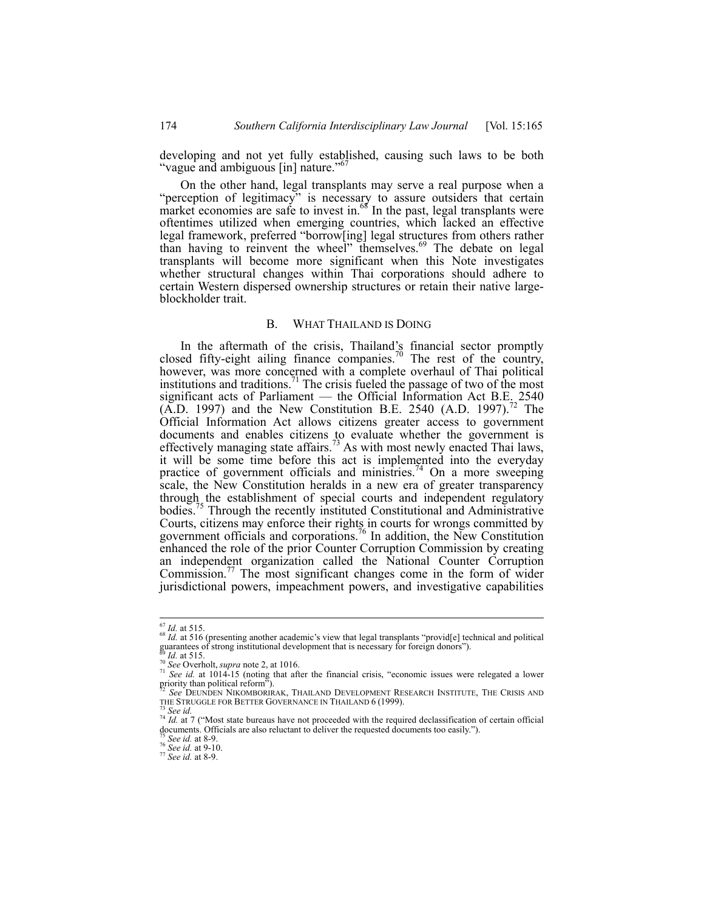developing and not yet fully established, causing such laws to be both "vague and ambiguous [in] nature."

On the other hand, legal transplants may serve a real purpose when a "perception of legitimacy" is necessary to assure outsiders that certain market economies are safe to invest in. $68$  In the past, legal transplants were oftentimes utilized when emerging countries, which lacked an effective legal framework, preferred "borrow[ing] legal structures from others rather than having to reinvent the wheel" themselves.<sup>69</sup> The debate on legal transplants will become more significant when this Note investigates whether structural changes within Thai corporations should adhere to certain Western dispersed ownership structures or retain their native largeblockholder trait.

#### B. WHAT THAILAND IS DOING

In the aftermath of the crisis, Thailand's financial sector promptly closed fifty-eight ailing finance companies.<sup>70</sup> The rest of the country, however, was more concerned with a complete overhaul of Thai political institutions and traditions.<sup>71</sup> The crisis fueled the passage of two of the most significant acts of Parliament — the Official Information Act B.E. 2540  $(A.D. 1997)$  and the New Constitution B.E. 2540  $(A.D. 1997).<sup>2</sup>$  The Official Information Act allows citizens greater access to government documents and enables citizens to evaluate whether the government is effectively managing state affairs.<sup>73</sup> As with most newly enacted Thai laws, it will be some time before this act is implemented into the everyday practice of government officials and ministries.<sup>74</sup> On a more sweeping scale, the New Constitution heralds in a new era of greater transparency through the establishment of special courts and independent regulatory bodies.<sup>75</sup> Through the recently instituted Constitutional and Administrative Courts, citizens may enforce their rights in courts for wrongs committed by government officials and corporations.<sup>76</sup> In addition, the New Constitution enhanced the role of the prior Counter Corruption Commission by creating an independent organization called the National Counter Corruption Commission.<sup>77</sup> The most significant changes come in the form of wider jurisdictional powers, impeachment powers, and investigative capabilities

 $67$  *Id.* at 515.

<sup>&</sup>lt;sup>68</sup> *Id.* at 516 (presenting another academic's view that legal transplants "provid[e] technical and political guarantees of strong institutional development that is necessary for foreign donors").

<sup>&</sup>lt;sup>86</sup> *Id.* at 515.<br><sup>70</sup> See Overholt, *supra* note 2, at 1016.<br><sup>71</sup> See *id.* at 1014-15 (noting that after the financial crisis, "economic issues were relegated a lower priority than political reform").

<sup>&</sup>lt;sup>72</sup> See DEUNDEN NIKOMBORIRAK, THAILAND DEVELOPMENT RESEARCH INSTITUTE, THE CRISIS AND THE STRUGGLE FOR BETTER GOVERNANCE IN THAILAND 6 (1999).

<sup>&</sup>lt;sup>73</sup> See id.<br><sup>74</sup> *Id.* at 7 ("Most state bureaus have not proceeded with the required declassification of certain official  $^{14}$  *Id.* at 7 ("Most state bureaus have not proceeded accuments too easily."). documents. Officials are also reluctant to deliver the requested documents too easily."). 75 *See id.* at 8-9. 76 *See id.* at 9-10. 77 *See id.* at 8-9.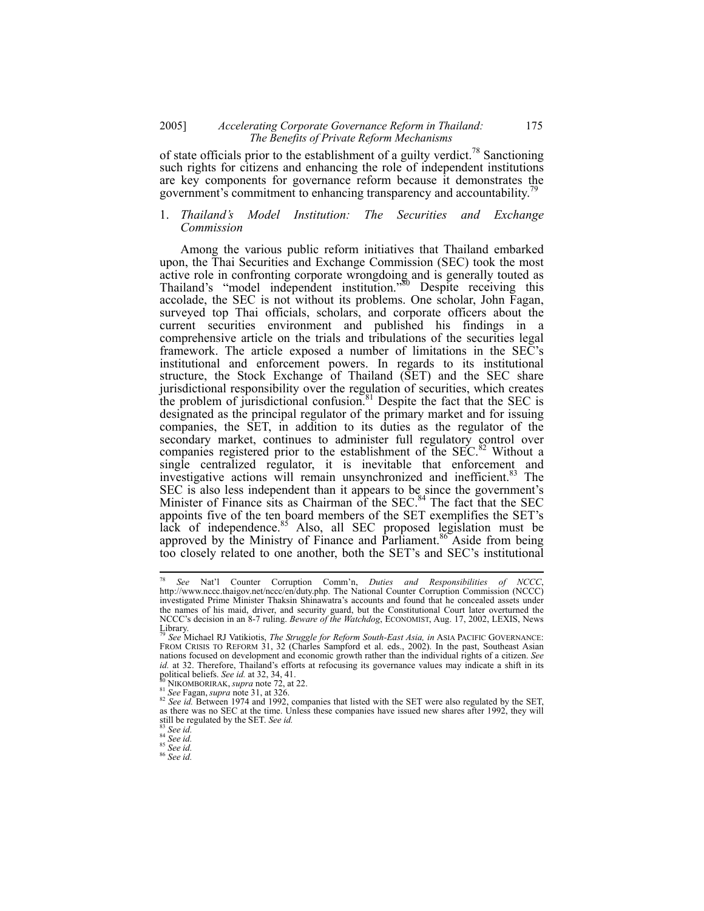#### 2005] *Accelerating Corporate Governance Reform in Thailand:* 175  *The Benefits of Private Reform Mechanisms*

of state officials prior to the establishment of a guilty verdict.<sup>78</sup> Sanctioning such rights for citizens and enhancing the role of independent institutions are key components for governance reform because it demonstrates the government's commitment to enhancing transparency and accountability.

## 1. *Thailand's Model Institution: The Securities and Exchange Commission*

Among the various public reform initiatives that Thailand embarked upon, the Thai Securities and Exchange Commission (SEC) took the most active role in confronting corporate wrongdoing and is generally touted as Thailand's "model independent institution."<sup>80</sup> Despite receiving this accolade, the SEC is not without its problems. One scholar, John Fagan, surveyed top Thai officials, scholars, and corporate officers about the current securities environment and published his findings in a comprehensive article on the trials and tribulations of the securities legal framework. The article exposed a number of limitations in the SEC's institutional and enforcement powers. In regards to its institutional structure, the Stock Exchange of Thailand (SET) and the SEC share jurisdictional responsibility over the regulation of securities, which creates the problem of jurisdictional confusion.<sup>81</sup> Despite the fact that the SEC is designated as the principal regulator of the primary market and for issuing companies, the SET, in addition to its duties as the regulator of the secondary market, continues to administer full regulatory control over companies registered prior to the establishment of the SEC.<sup>82</sup> Without a single centralized regulator, it is inevitable that enforcement and investigative actions will remain unsynchronized and inefficient.<sup>83</sup> The SEC is also less independent than it appears to be since the government's Minister of Finance sits as Chairman of the  $SEC.$ <sup>84</sup> The fact that the SEC appoints five of the ten board members of the SET exemplifies the SET's lack of independence.<sup>85</sup> Also, all SEC proposed legislation must be approved by the Ministry of Finance and Parliament.<sup>86</sup> Aside from being too closely related to one another, both the SET's and SEC's institutional

<sup>78</sup> <sup>78</sup> *See* Nat'l Counter Corruption Comm'n, *Duties and Responsibilities of NCCC*, http://www.nccc.thaigov.net/nccc/en/duty.php. The National Counter Corruption Commission (NCCC) investigated Prime Minister Thaksin Shinawatra's accounts and found that he concealed assets under the names of his maid, driver, and security guard, but the Constitutional Court later overturned the NCCC's decision in an 8-7 ruling. *Beware of the Watchdog*, ECONOMIST, Aug. 17, 2002, LEXIS, News

Library. <sup>79</sup> *See* Michael RJ Vatikiotis, *The Struggle for Reform South-East Asia, in* ASIA PACIFIC GOVERNANCE: FROM CRISIS TO REFORM 31, 32 (Charles Sampford et al. eds., 2002). In the past, Southeast Asian nations focused on development and economic growth rather than the individual rights of a citizen. *See id.* at 32. Therefore, Thailand's efforts at refocusing its governance values may indicate a shift in its political beliefs. See id. at 32, 34, 41.

<sup>&</sup>lt;sup>80</sup> NIKOMBORIRAK, *supra* note 72, at 22.<br><sup>81</sup> See Fagan, *supra* note 31, at 326.<br><sup>82</sup> See id. Between 1974 and 1992, companies that listed with the SET were also regulated by the SET. as there was no SEC at the time. Unless these companies have issued new shares after 1992, they will still be regulated by the SET. *See id.* <sup>83</sup> *See id.* 85 *See id.* 85 *See id.* 85 *See id.* 86 *See id.*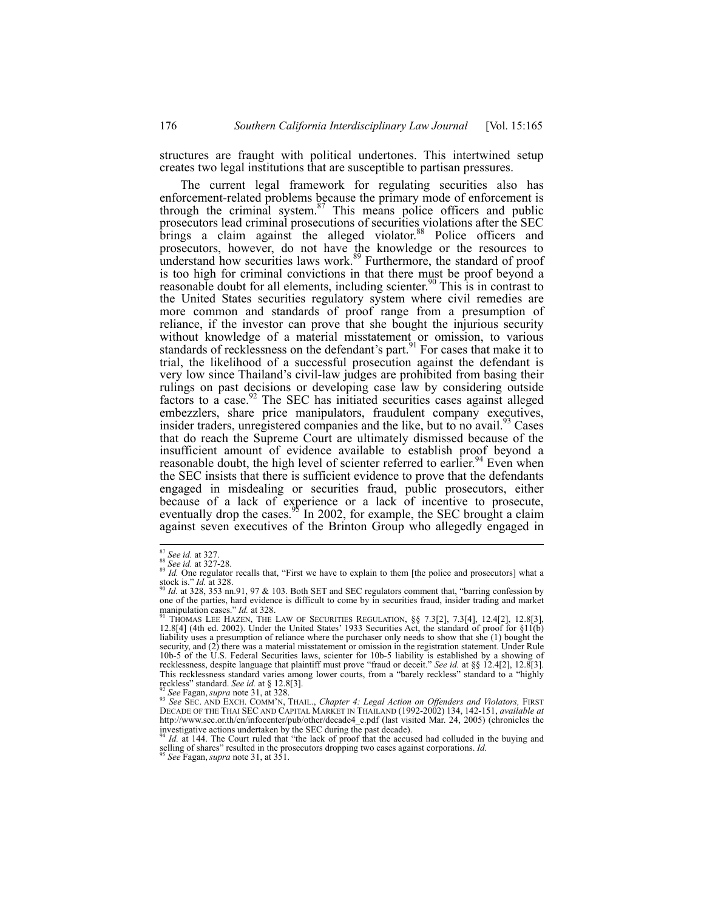structures are fraught with political undertones. This intertwined setup creates two legal institutions that are susceptible to partisan pressures.

The current legal framework for regulating securities also has enforcement-related problems because the primary mode of enforcement is through the criminal system. $87$  This means police officers and public prosecutors lead criminal prosecutions of securities violations after the SEC brings a claim against the alleged violator.<sup>88</sup> Police officers and prosecutors, however, do not have the knowledge or the resources to understand how securities laws work.<sup>89</sup> Furthermore, the standard of proof is too high for criminal convictions in that there must be proof beyond a reasonable doubt for all elements, including scienter.<sup>90</sup> This is in contrast to the United States securities regulatory system where civil remedies are more common and standards of proof range from a presumption of reliance, if the investor can prove that she bought the injurious security without knowledge of a material misstatement or omission, to various standards of recklessness on the defendant's part.<sup>91</sup> For cases that make it to trial, the likelihood of a successful prosecution against the defendant is very low since Thailand's civil-law judges are prohibited from basing their rulings on past decisions or developing case law by considering outside factors to a case.<sup>92</sup> The SEC has initiated securities cases against alleged embezzlers, share price manipulators, fraudulent company executives, insider traders, unregistered companies and the like, but to no avail.<sup>93</sup> Cases that do reach the Supreme Court are ultimately dismissed because of the insufficient amount of evidence available to establish proof beyond a reasonable doubt, the high level of scienter referred to earlier.<sup>94</sup> Even when the SEC insists that there is sufficient evidence to prove that the defendants engaged in misdealing or securities fraud, public prosecutors, either because of a lack of experience or a lack of incentive to prosecute, eventually drop the cases.<sup>95</sup> In 2002, for example, the SEC brought a claim against seven executives of the Brinton Group who allegedly engaged in

 $^{87}_{88}$  See id. at 327.<br> $^{88}_{88}$  See id. at 327-28.

<sup>&</sup>lt;sup>87</sup> *See id.* at 327.<br><sup>88</sup> *See id.* at 327-28.<br><sup>89</sup> *Id.* One regulator recalls that, "First we have to explain to them [the police and prosecutors] what a stock is." *Id.* at 328.<br><sup>90</sup> *Id.* at 328, 353 nn.91, 97 & 103. Both SET and SEC regulators comment that, "barring confession by

one of the parties, hard evidence is difficult to come by in securities fraud, insider trading and market manipulation cases."  $Id$ . at 328.

THOMAS LEE HAZEN, THE LAW OF SECURITIES REGULATION, §§ 7.3[2], 7.3[4], 12.4[2], 12.8[3], 12.8[4] (4th ed. 2002). Under the United States' 1933 Securities Act, the standard of proof for §11(b) liability uses a presumption of reliance where the purchaser only needs to show that she (1) bought the security, and (2) there was a material misstatement or omission in the registration statement. Under Rule 10b-5 of the U.S. Federal Securities laws, scienter for 10b-5 liability is established by a showing of recklessness, despite language that plaintiff must prove "fraud or deceit." *See id.* at §§ 12.4[2], 12.8[3]. This recklessness standard varies among lower courts, from a "barely reckless" standard to a "highly reckless" standard. See id. at  $\S 12.8[3]$ .

reckless" standard. *See id.* at § 12.8[3].<br><sup>92</sup> See Fagan, *supra* note 31, at 328.<br><sup>93</sup> See SEC. AND EXCH. COMM'N, THAIL., *Chapter 4: Legal Action on Offenders and Violators,* FIRST<br>DECADE OF THE THAI SEC AND CAPITAL MA http://www.sec.or.th/en/infocenter/pub/other/decade4\_e.pdf (last visited Mar. 24, 2005) (chronicles the investigative actions undertaken by the SEC during the past decade).<br><sup>94</sup> *Id.* at 144. The Court ruled that "the lack of proof that the accused had colluded in the buying and <sup>94</sup> *Id.* at 144. The Court ruled that "the l

selling of shares" resulted in the prosecutors dropping two cases against corporations. *Id.* <sup>95</sup> *See* Fagan, *supra* note 31, at 351.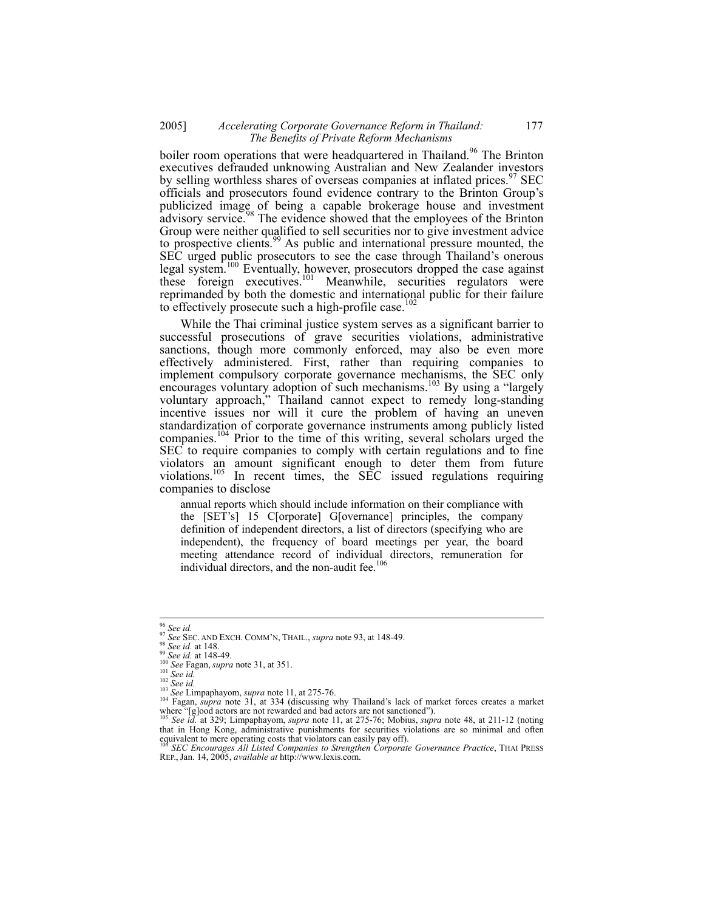## 2005] *Accelerating Corporate Governance Reform in Thailand:* 177  *The Benefits of Private Reform Mechanisms*

boiler room operations that were headquartered in Thailand.<sup>96</sup> The Brinton executives defrauded unknowing Australian and New Zealander investors by selling worthless shares of overseas companies at inflated prices.<sup>97</sup> SEC officials and prosecutors found evidence contrary to the Brinton Group's publicized image of being a capable brokerage house and investment advisory service.<sup>98</sup> The evidence showed that the employees of the Brinton Group were neither qualified to sell securities nor to give investment advice to prospective clients.<sup>99</sup> As public and international pressure mounted, the SEC urged public prosecutors to see the case through Thailand's onerous legal system.<sup>100</sup> Eventually, however, prosecutors dropped the case against these foreign executives.<sup>101</sup> Meanwhile, securities regulators were reprimanded by both the domestic and international public for their failure to effectively prosecute such a high-profile case.<sup>102</sup>

While the Thai criminal justice system serves as a significant barrier to successful prosecutions of grave securities violations, administrative sanctions, though more commonly enforced, may also be even more effectively administered. First, rather than requiring companies to implement compulsory corporate governance mechanisms, the SEC only encourages voluntary adoption of such mechanisms.<sup>103</sup> By using a "largely voluntary approach," Thailand cannot expect to remedy long-standing incentive issues nor will it cure the problem of having an uneven standardization of corporate governance instruments among publicly listed companies.104 Prior to the time of this writing, several scholars urged the SEC to require companies to comply with certain regulations and to fine violators an amount significant enough to deter them from future violations.<sup>105</sup> In recent times, the SEC issued regulations requiring companies to disclose

annual reports which should include information on their compliance with the [SET's] 15 C[orporate] G[overnance] principles, the company definition of independent directors, a list of directors (specifying who are independent), the frequency of board meetings per year, the board meeting attendance record of individual directors, remuneration for individual directors, and the non-audit fee.<sup>106</sup>

 $^{96}$  See id.

<sup>&</sup>lt;sup>97</sup> See SEC. AND EXCH. COMM'N, THAIL., *supra* note 93, at 148-49.<br><sup>98</sup> See id. at 148.<br><sup>99</sup> See id. at 148-49.<br><sup>100</sup> See Fagan, *supra* note 31, at 351.<br><sup>101</sup> See *id.*<br><sup>101</sup> See Limpaphayom, *supra* note 11, at 275-76. where "[g]ood actors are not rewarded and bad actors are not sanctioned").<br>
<sup>105</sup> *See id.* at 329; Limpaphayom, *supra* note 11, at 275-76; Mobius, *supra* note 48, at 211-12 (noting <sup>105</sup> *See id.* at 329; Limpaphayom,

that in Hong Kong, administrative punishments for securities violations are so minimal and often equivalent to mere operating costs that violators can easily pay off).<br><sup>106</sup> *SEC Encourages All Listed Companies to Strengthen Corporate Governance Practice*, THAI PRESS

REP., Jan. 14, 2005, *available at* http://www.lexis.com.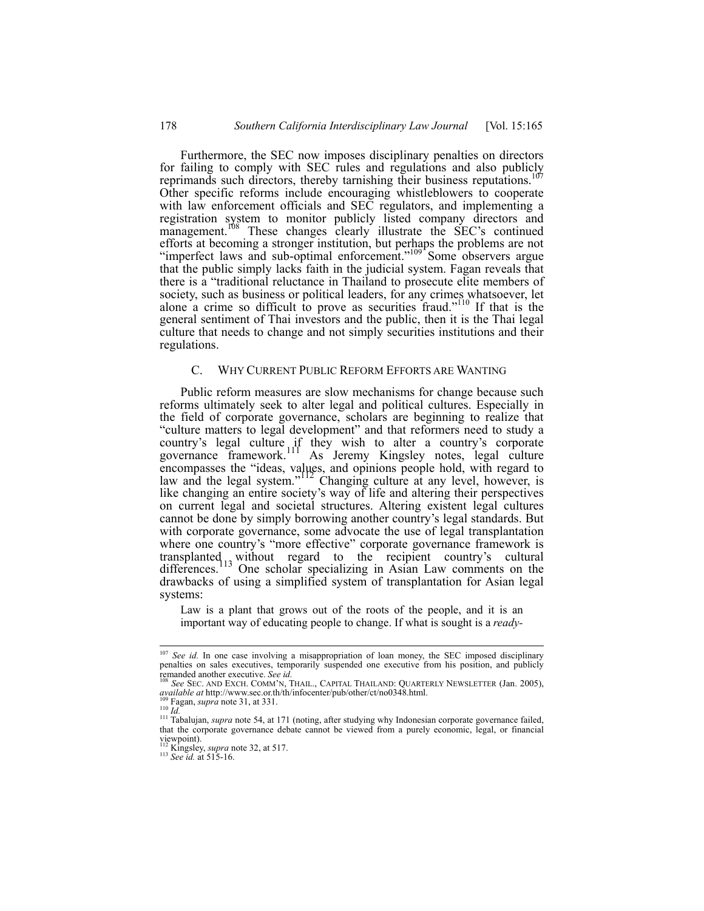Furthermore, the SEC now imposes disciplinary penalties on directors for failing to comply with SEC rules and regulations and also publicly reprimands such directors, thereby tarnishing their business reputations.<sup>107</sup> Other specific reforms include encouraging whistleblowers to cooperate with law enforcement officials and SEC regulators, and implementing a registration system to monitor publicly listed company directors and management.<sup>108</sup> These changes clearly illustrate the SEC's continued efforts at becoming a stronger institution, but perhaps the problems are not "imperfect laws and sub-optimal enforcement."<sup>109</sup> Some observers argue that the public simply lacks faith in the judicial system. Fagan reveals that there is a "traditional reluctance in Thailand to prosecute elite members of society, such as business or political leaders, for any crimes whatsoever, let alone a crime so difficult to prove as securities fraud."110 If that is the general sentiment of Thai investors and the public, then it is the Thai legal culture that needs to change and not simply securities institutions and their regulations.

#### C. WHY CURRENT PUBLIC REFORM EFFORTS ARE WANTING

Public reform measures are slow mechanisms for change because such reforms ultimately seek to alter legal and political cultures. Especially in the field of corporate governance, scholars are beginning to realize that "culture matters to legal development" and that reformers need to study a country's legal culture if they wish to alter a country's corporate governance framework.<sup>111</sup> As Jeremy Kingsley notes, legal culture encompasses the "ideas, values, and opinions people hold, with regard to law and the legal system."<sup>112</sup> Changing culture at any level, however, is like changing an entire society's way of life and altering their perspectives on current legal and societal structures. Altering existent legal cultures cannot be done by simply borrowing another country's legal standards. But with corporate governance, some advocate the use of legal transplantation where one country's "more effective" corporate governance framework is transplanted is without regard to the recipient country's cultural differences.<sup>113</sup> One scholar specializing in Asian Law comments on the drawbacks of using a simplified system of transplantation for Asian legal systems:

Law is a plant that grows out of the roots of the people, and it is an important way of educating people to change. If what is sought is a *ready-*

 $\overline{a}$ 

<sup>&</sup>lt;sup>107</sup> *See id.* In one case involving a misappropriation of loan money, the SEC imposed disciplinary penalties on sales executives, temporarily suspended one executive from his position, and publicly

remanded another executive. *See id.* 108 *See id.* 108 *See SEC. AND EXCH. COMM'N, THAIL., CAPITAL THAILAND: QUARTERLY NEWSLETTER (Jan. 2005), available at http://www.sec.or.th/th/infocenter/pub/other/ct/no0348.html.* 

Top Fagan, *supra* note 31, at 331.<br><sup>110</sup> *Id.*<br><sup>111</sup> *Id.*<br><sup>111</sup> Tabalujan, *supra* note 54, at 171 (noting, after studying why Indonesian corporate governance failed, that the corporate governance debate cannot be viewed from a purely economic, legal, or financial viewpoint).

<sup>112</sup> Kingsley, *supra* note 32, at 517. 113 *See id.* at 515-16.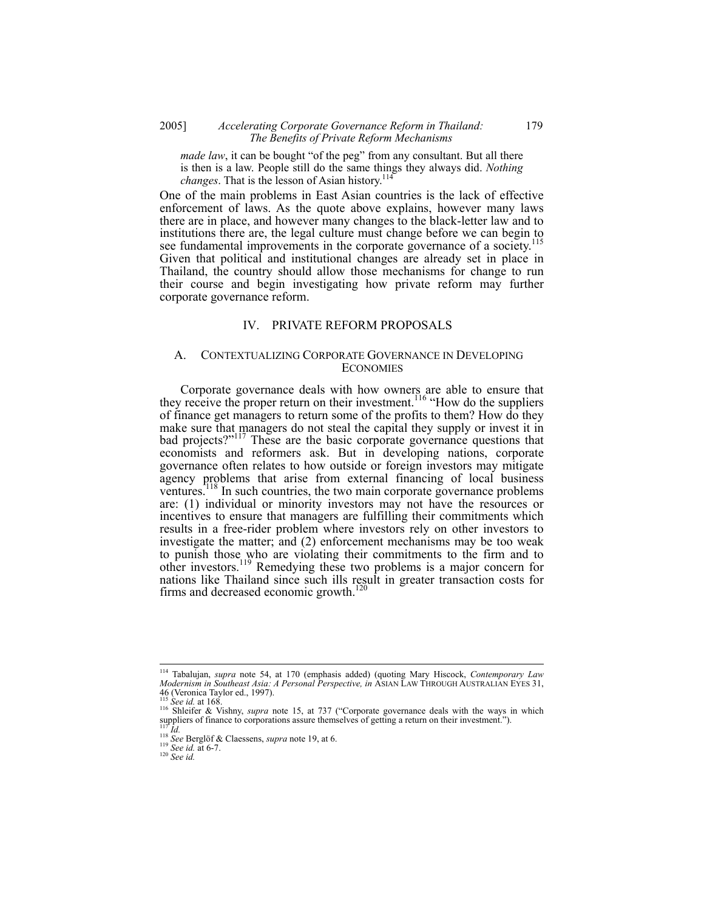## 2005] *Accelerating Corporate Governance Reform in Thailand:* 179  *The Benefits of Private Reform Mechanisms*

*made law*, it can be bought "of the peg" from any consultant. But all there is then is a law. People still do the same things they always did. *Nothing changes*. That is the lesson of Asian history.<sup>114</sup>

One of the main problems in East Asian countries is the lack of effective enforcement of laws. As the quote above explains, however many laws there are in place, and however many changes to the black-letter law and to institutions there are, the legal culture must change before we can begin to see fundamental improvements in the corporate governance of a society.<sup>115</sup> Given that political and institutional changes are already set in place in Thailand, the country should allow those mechanisms for change to run their course and begin investigating how private reform may further corporate governance reform.

## IV. PRIVATE REFORM PROPOSALS

#### A. CONTEXTUALIZING CORPORATE GOVERNANCE IN DEVELOPING **ECONOMIES**

Corporate governance deals with how owners are able to ensure that they receive the proper return on their investment.<sup>116</sup> "How do the suppliers of finance get managers to return some of the profits to them? How do they make sure that managers do not steal the capital they supply or invest it in bad projects?"<sup>117</sup> These are the basic corporate governance questions that economists and reformers ask. But in developing nations, corporate governance often relates to how outside or foreign investors may mitigate agency problems that arise from external financing of local business ventures.<sup>118</sup> In such countries, the two main corporate governance problems are: (1) individual or minority investors may not have the resources or incentives to ensure that managers are fulfilling their commitments which results in a free-rider problem where investors rely on other investors to investigate the matter; and (2) enforcement mechanisms may be too weak to punish those who are violating their commitments to the firm and to other investors.119 Remedying these two problems is a major concern for nations like Thailand since such ills result in greater transaction costs for firms and decreased economic growth.<sup>120</sup>

<sup>114</sup> Tabalujan, *supra* note 54, at 170 (emphasis added) (quoting Mary Hiscock, *Contemporary Law Modernism in Southeast Asia: A Personal Perspective, in* ASIAN LAW THROUGH AUSTRALIAN EYES 31, 46 (Veronica Taylor ed., 1997).<br><sup>115</sup> See id. at 168.

<sup>116</sup> Shleifer & Vishny, *supra* note 15, at 737 ("Corporate governance deals with the ways in which suppliers of finance to corporations assure themselves of getting a return on their investment.").

suppliers of finance to corporations assure thems<br>
<sup>117</sup> *Id.*<br>
<sup>118</sup> *See* Berglöf & Claessens, *supra* note 19, at 6.<br>
<sup>119</sup> *See id.* at 6-7.<br>
<sup>120</sup> *See id.*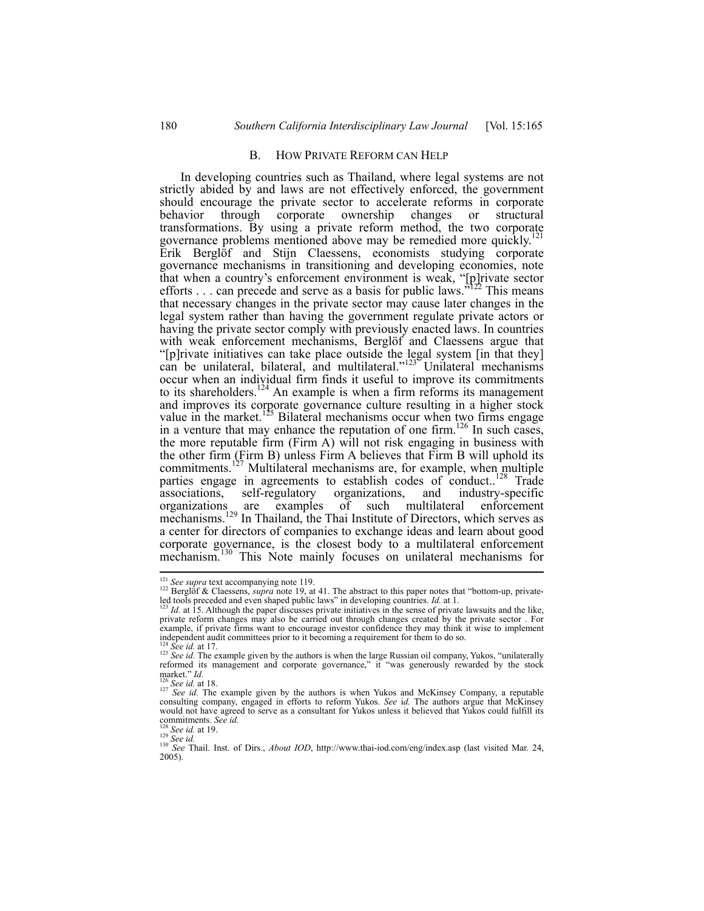#### B. HOW PRIVATE REFORM CAN HELP

In developing countries such as Thailand, where legal systems are not strictly abided by and laws are not effectively enforced, the government should encourage the private sector to accelerate reforms in corporate behavior through corporate ownership changes or structural transformations. By using a private reform method, the two corporate governance problems mentioned above may be remedied more quickly.<sup>121</sup> Erik Berglöf and Stijn Claessens, economists studying corporate governance mechanisms in transitioning and developing economies, note that when a country's enforcement environment is weak, "[p]rivate sector efforts  $\ldots$  can precede and serve as a basis for public laws.<sup> $122$ </sup> This means that necessary changes in the private sector may cause later changes in the legal system rather than having the government regulate private actors or having the private sector comply with previously enacted laws. In countries with weak enforcement mechanisms, Berglöf and Claessens argue that "[p]rivate initiatives can take place outside the legal system [in that they] can be unilateral, bilateral, and multilateral." $123$  Unilateral mechanisms occur when an individual firm finds it useful to improve its commitments to its shareholders.<sup>124</sup> An example is when a firm reforms its management and improves its corporate governance culture resulting in a higher stock value in the market.<sup>125</sup> Bilateral mechanisms occur when two firms engage in a venture that may enhance the reputation of one firm.<sup>126</sup> In such cases, the more reputable firm (Firm A) will not risk engaging in business with the other firm (Firm B) unless Firm A believes that Firm B will uphold its commitments.<sup>127</sup> Multilateral mechanisms are, for example, when multiple parties engage in agreements to establish codes of conduct..<sup>128</sup> Trade associations, self-regulatory organizations, and industry-specific organizations are examples of such multilateral enforcement mechanisms.<sup>129</sup> In Thailand, the Thai Institute of Directors, which serves as a center for directors of companies to exchange ideas and learn about good corporate governance, is the closest body to a multilateral enforcement mechanism.<sup>130</sup> This Note mainly focuses on unilateral mechanisms for

 $121$  See supra text accompanying note 119.

<sup>&</sup>lt;sup>122</sup> Berglöf & Claessens, *supra* note 19, at 41. The abstract to this paper notes that "bottom-up, privateled tools preceded and even shaped public laws" in developing countries. *Id.* at 1.<br><sup>123</sup> *Id.* at 15. Although the paper discusses private initiatives in the sense of private lawsuits and the like,

private reform changes may also be carried out through changes created by the private sector . For example, if private firms want to encourage investor confidence they may think it wise to implement

independent audit committees prior to it becoming a requirement for them to do so.<br><sup>124</sup> See id. at 17.<br><sup>125</sup> See id. The example given by the authors is when the large Russian oil company, Yukos, "unilaterally<br>reformed it market." *Id.*<br><sup>126</sup> *See id.* at 18.<br><sup>127</sup> *See id.* The example given by the authors is when Yukos and McKinsey Company, a reputable

consulting company, engaged in efforts to reform Yukos. *See* i*d.* The authors argue that McKinsey would not have agreed to serve as a consultant for Yukos unless it believed that Yukos could fulfill its commitments. See id.

<sup>&</sup>lt;sup>128</sup> *See id.* at 19.<br><sup>129</sup> *See id.* at 19.<br><sup>130</sup> *See id.* 130 *See* Thail. Inst. of Dirs., *About IOD*, http://www.thai-iod.com/eng/index.asp (last visited Mar. 24, 2005).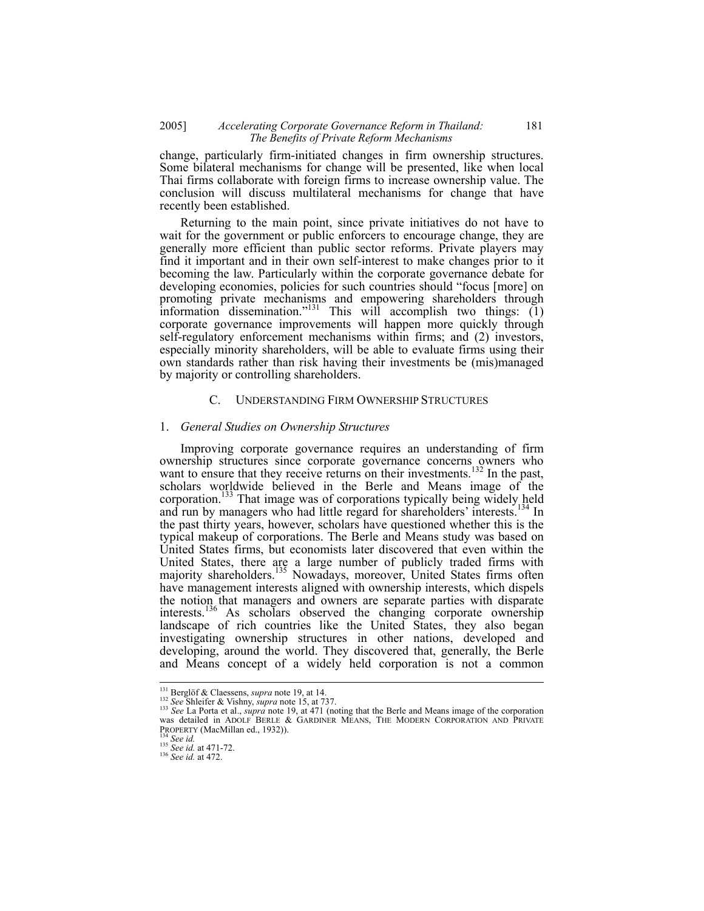## 2005] *Accelerating Corporate Governance Reform in Thailand:* 181  *The Benefits of Private Reform Mechanisms*

change, particularly firm-initiated changes in firm ownership structures. Some bilateral mechanisms for change will be presented, like when local Thai firms collaborate with foreign firms to increase ownership value. The conclusion will discuss multilateral mechanisms for change that have recently been established.

Returning to the main point, since private initiatives do not have to wait for the government or public enforcers to encourage change, they are generally more efficient than public sector reforms. Private players may find it important and in their own self-interest to make changes prior to it becoming the law. Particularly within the corporate governance debate for developing economies, policies for such countries should "focus [more] on promoting private mechanisms and empowering shareholders through information dissemination."<sup>131</sup> This will accomplish two things:  $(1)$ corporate governance improvements will happen more quickly through self-regulatory enforcement mechanisms within firms; and (2) investors, especially minority shareholders, will be able to evaluate firms using their own standards rather than risk having their investments be (mis)managed by majority or controlling shareholders.

#### C. UNDERSTANDING FIRM OWNERSHIP STRUCTURES

#### 1. *General Studies on Ownership Structures*

Improving corporate governance requires an understanding of firm ownership structures since corporate governance concerns owners who want to ensure that they receive returns on their investments.<sup>132</sup> In the past, scholars worldwide believed in the Berle and Means image of the corporation.<sup>133</sup> That image was of corporations typically being widely held and run by managers who had little regard for shareholders' interests.<sup>134</sup> In the past thirty years, however, scholars have questioned whether this is the typical makeup of corporations. The Berle and Means study was based on United States firms, but economists later discovered that even within the United States, there are a large number of publicly traded firms with majority shareholders.<sup>135</sup> Nowadays, moreover, United States firms often have management interests aligned with ownership interests, which dispels the notion that managers and owners are separate parties with disparate interests.<sup>136</sup> As scholars observed the changing corporate ownership landscape of rich countries like the United States, they also began investigating ownership structures in other nations, developed and developing, around the world. They discovered that, generally, the Berle and Means concept of a widely held corporation is not a common

<sup>&</sup>lt;sup>131</sup> Berglöf & Claessens, *supra* note 19, at 14.

<sup>&</sup>lt;sup>131</sup> Berglöf & Claessens, *supra* note 19, at 14.<br><sup>132</sup> See Shleifer & Vishny, *supra* note 15, at 737.<br><sup>133</sup> See La Porta et al., *supra* note 19, at 471 (noting that the Berle and Means image of the corporation was det PROPERTY (MacMillan ed., 1932)). 134 *See id.* <sup>135</sup> *See id.* at 471-72. 136 *See id.* at 472.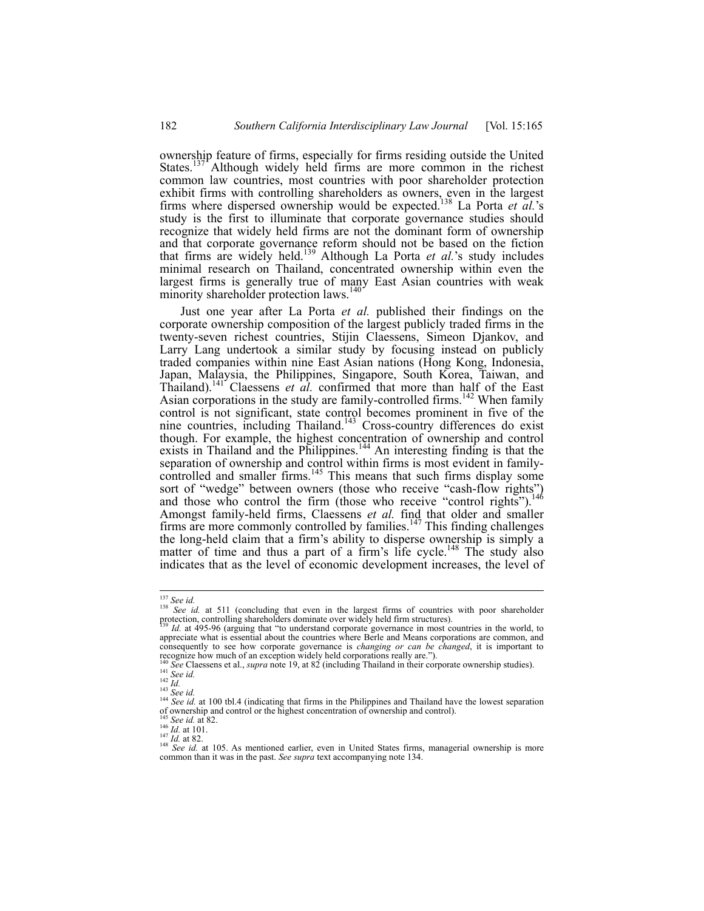ownership feature of firms, especially for firms residing outside the United States.<sup>137</sup> Although widely held firms are more common in the richest common law countries, most countries with poor shareholder protection exhibit firms with controlling shareholders as owners, even in the largest firms where dispersed ownership would be expected.138 La Porta *et al.*'s study is the first to illuminate that corporate governance studies should recognize that widely held firms are not the dominant form of ownership and that corporate governance reform should not be based on the fiction that firms are widely held.139 Although La Porta *et al.*'s study includes minimal research on Thailand, concentrated ownership within even the largest firms is generally true of many East Asian countries with weak minority shareholder protection laws.<sup>140</sup>

Just one year after La Porta *et al.* published their findings on the corporate ownership composition of the largest publicly traded firms in the twenty-seven richest countries, Stijin Claessens, Simeon Djankov, and Larry Lang undertook a similar study by focusing instead on publicly traded companies within nine East Asian nations (Hong Kong, Indonesia, Japan, Malaysia, the Philippines, Singapore, South Korea, Taiwan, and Thailand).<sup>141</sup> Claessens *et al.* confirmed that more than half of the East Asian corporations in the study are family-controlled firms.<sup>142</sup> When family control is not significant, state control becomes prominent in five of the nine countries, including Thailand.<sup>143</sup> Cross-country differences do exist though. For example, the highest concentration of ownership and control exists in Thailand and the Philippines.<sup>144</sup> An interesting finding is that the separation of ownership and control within firms is most evident in familycontrolled and smaller firms.<sup>145</sup> This means that such firms display some sort of "wedge" between owners (those who receive "cash-flow rights") and those who control the firm (those who receive "control rights").<sup>146</sup> Amongst family-held firms, Claessens *et al.* find that older and smaller firms are more commonly controlled by families.<sup>147</sup> This finding challenges the long-held claim that a firm's ability to disperse ownership is simply a matter of time and thus a part of a firm's life cycle.<sup>148</sup> The study also indicates that as the level of economic development increases, the level of

 $137$  See id.

<sup>&</sup>lt;sup>138 *See id.* at 511 (concluding that even in the largest firms of countries with poor shareholder protection, controlling shareholders dominate over widely held firm structures).</sup>

*Id.* at 495-96 (arguing that "to understand corporate governance in most countries in the world, to appreciate what is essential about the countries where Berle and Means corporations are common, and consequently to see how corporate governance is *changing or can be changed*, it is important to

Encognize how much of an exception widely held corporations really are.").<br>
The change of the statement of an exception widely held corporations really are.").<br>
<sup>141</sup> See Claessens et al., *supra* note 19, at 82 (includin

of ownership and control or the highest concentration of ownership and control).<br>
<sup>145</sup> See id. at 82.<br>
<sup>147</sup> Id. at 82.<br>
<sup>148</sup> See id. at 101.<br>
<sup>147</sup> Id. at 82.<br>
<sup>148</sup> See id. at 105. As mentioned earlier, even in United

common than it was in the past. *See supra* text accompanying note 134.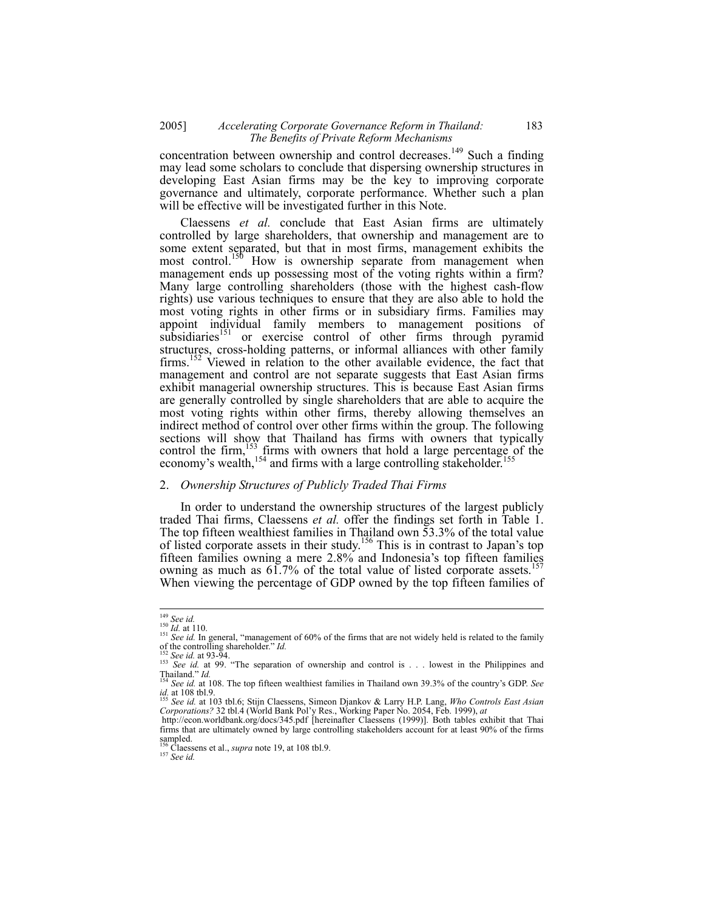## 2005] *Accelerating Corporate Governance Reform in Thailand:* 183  *The Benefits of Private Reform Mechanisms*

concentration between ownership and control decreases.<sup>149</sup> Such a finding may lead some scholars to conclude that dispersing ownership structures in developing East Asian firms may be the key to improving corporate governance and ultimately, corporate performance. Whether such a plan will be effective will be investigated further in this Note.

Claessens *et al.* conclude that East Asian firms are ultimately controlled by large shareholders, that ownership and management are to some extent separated, but that in most firms, management exhibits the most control.<sup>150</sup> How is ownership separate from management when management ends up possessing most of the voting rights within a firm? Many large controlling shareholders (those with the highest cash-flow rights) use various techniques to ensure that they are also able to hold the most voting rights in other firms or in subsidiary firms. Families may appoint individual family members to management positions of subsidiaries<sup>151</sup> or exercise control of other firms through pyramid structures, cross-holding patterns, or informal alliances with other family firms.<sup>152</sup> Viewed in relation to the other available evidence, the fact that management and control are not separate suggests that East Asian firms exhibit managerial ownership structures. This is because East Asian firms are generally controlled by single shareholders that are able to acquire the most voting rights within other firms, thereby allowing themselves an indirect method of control over other firms within the group. The following sections will show that Thailand has firms with owners that typically control the firm,<sup>153</sup> firms with owners that hold a large percentage of the economy's wealth,<sup>154</sup> and firms with a large controlling stakeholder.<sup>155</sup>

#### 2. *Ownership Structures of Publicly Traded Thai Firms*

In order to understand the ownership structures of the largest publicly traded Thai firms, Claessens *et al.* offer the findings set forth in Table 1. The top fifteen wealthiest families in Thailand own 53.3% of the total value of listed corporate assets in their study.<sup>156</sup> This is in contrast to Japan's top fifteen families owning a mere 2.8% and Indonesia's top fifteen families owning as much as  $61.7\%$  of the total value of listed corporate assets.<sup>157</sup> When viewing the percentage of GDP owned by the top fifteen families of

 $149$  See id.

<sup>&</sup>lt;sup>149</sup> *See id.*<br><sup>150</sup> *Id.* at 110.<br><sup>151</sup> *See id.* In general, "management of 60% of the firms that are not widely held is related to the family of the controlling shareholder." *Id.*<br><sup>152</sup> *See id.* at 93-94.<br><sup>153</sup> *See id.* at 99. "The separation of ownership and control is . . . lowest in the Philippines and

<sup>&</sup>lt;sup>153</sup> *See id.* at 22-7.<br>
Thailand." *Id.*<br>
Thailand." *Id.*<br>
<sup>154</sup> *See id.* at 108. The top fifteen wealthiest families in Thailand own 39.3% of the country's GDP. *See* 

*id.* at 108 tbl.9. 155 *See id.* at 103 tbl.6; Stijn Claessens, Simeon Djankov & Larry H.P. Lang, *Who Controls East Asian* 

*Corporations?* 32 tbl.4 (World Bank Pol'y Res., Working Paper No. 2054, Feb. 1999), *at* http://econ.worldbank.org/docs/345.pdf [hereinafter Claessens (1999)]. Both tables exhibit that Thai

firms that are ultimately owned by large controlling stakeholders account for at least 90% of the firms sampled.

<sup>156</sup> Claessens et al., *supra* note 19, at 108 tbl.9. 157 *See id.*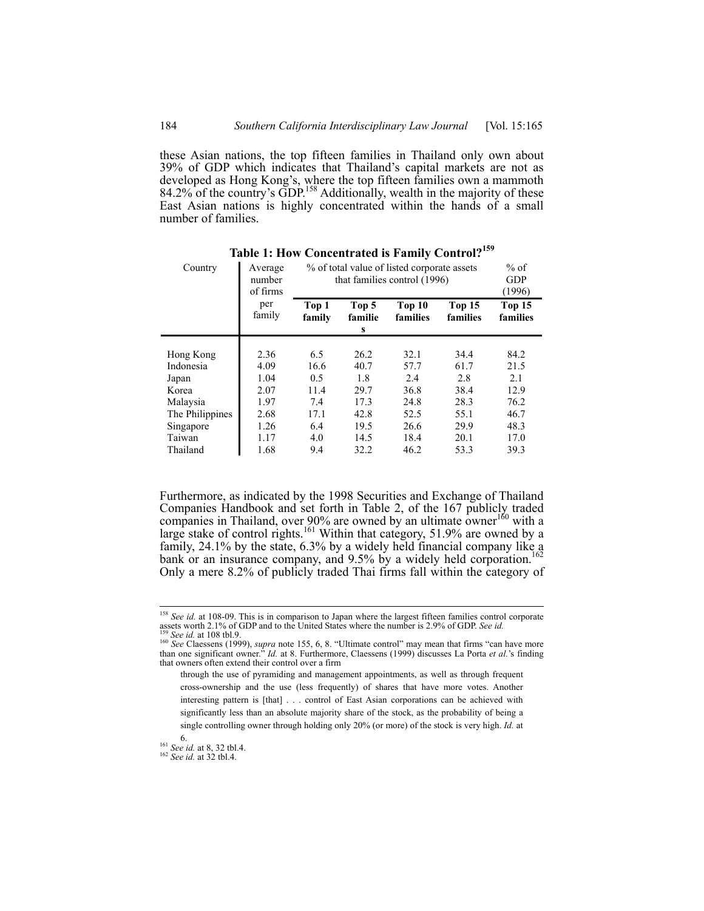these Asian nations, the top fifteen families in Thailand only own about 39% of GDP which indicates that Thailand's capital markets are not as developed as Hong Kong's, where the top fifteen families own a mammoth 84.2% of the country's GDP.<sup>158</sup> Additionally, wealth in the majority of these East Asian nations is highly concentrated within the hands of a small number of families.

| Country         | Average<br>number<br>of firms | % of total value of listed corporate assets<br>that families control (1996) | $%$ of<br><b>GDP</b><br>(1996)   |                    |                    |                    |
|-----------------|-------------------------------|-----------------------------------------------------------------------------|----------------------------------|--------------------|--------------------|--------------------|
|                 | per<br>family                 | Top 1<br>family                                                             | Top 5<br>familie<br>$\mathbf{s}$ | Top 10<br>families | Top 15<br>families | Top 15<br>families |
|                 |                               |                                                                             |                                  |                    |                    |                    |
| Hong Kong       | 2.36                          | 6.5                                                                         | 26.2                             | 32.1               | 34.4               | 84.2               |
| Indonesia       | 4.09                          | 16.6                                                                        | 40.7                             | 57.7               | 61.7               | 21.5               |
| Japan           | 1.04                          | 0.5                                                                         | 1.8                              | 2.4                | 2.8                | 2.1                |
| Korea           | 2.07                          | 11.4                                                                        | 29.7                             | 36.8               | 38.4               | 12.9               |
| Malaysia        | 1.97                          | 7.4                                                                         | 17.3                             | 24.8               | 28.3               | 76.2               |
| The Philippines | 2.68                          | 17.1                                                                        | 42.8                             | 52.5               | 55.1               | 46.7               |
| Singapore       | 1.26                          | 6.4                                                                         | 19.5                             | 26.6               | 29.9               | 48.3               |
| Taiwan          | 1.17                          | 4.0                                                                         | 14.5                             | 18.4               | 20.1               | 17.0               |
| Thailand        | 1.68                          | 9.4                                                                         | 32.2                             | 46.2               | 53.3               | 39.3               |

**Table 1: How Concentrated is Family Control?159**

Furthermore, as indicated by the 1998 Securities and Exchange of Thailand Companies Handbook and set forth in Table 2, of the 167 publicly traded companies in Thailand, over 90% are owned by an ultimate owner<sup>160</sup> with a large stake of control rights.<sup>161</sup> Within that category, 51.9% are owned by a family, 24.1% by the state, 6.3% by a widely held financial company like a bank or an insurance company, and  $9.5\%$  by a widely held corporation. Only a mere 8.2% of publicly traded Thai firms fall within the category of

<sup>&</sup>lt;sup>158</sup> See id. at 108-09. This is in comparison to Japan where the largest fifteen families control corporate Section at 150%. Thus is in comparison to Japan where the largest fifteen families control corporate<br>assets worth 2.1% of GDP and to the United States where the number is 2.9% of GDP. See id.<br><sup>159</sup> See id. at 108 tbl.9.<br><sup></sup>

than one significant owner." *Id.* at 8. Furthermore, Claessens (1999) discusses La Porta *et al.*'s finding that owners often extend their control over a firm

through the use of pyramiding and management appointments, as well as through frequent cross-ownership and the use (less frequently) of shares that have more votes. Another interesting pattern is [that] . . . control of East Asian corporations can be achieved with significantly less than an absolute majority share of the stock, as the probability of being a single controlling owner through holding only 20% (or more) of the stock is very high. *Id.* at

<sup>6. 161</sup> *See id.* at 8, 32 tbl.4. 162 *See id.* at 32 tbl.4.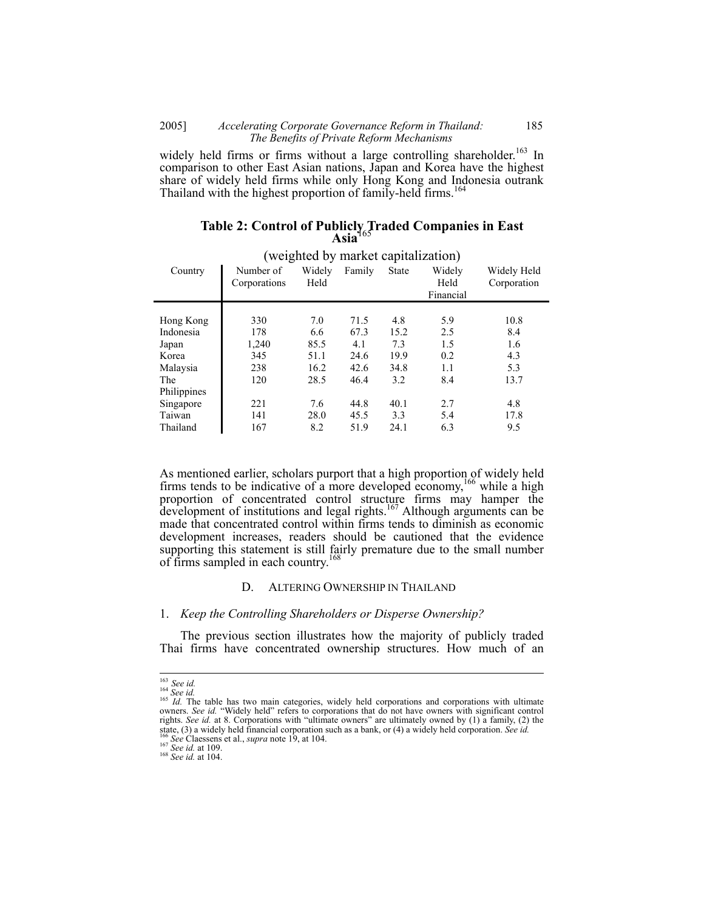## 2005] *Accelerating Corporate Governance Reform in Thailand:* 185  *The Benefits of Private Reform Mechanisms*

widely held firms or firms without a large controlling shareholder.<sup>163</sup> In comparison to other East Asian nations, Japan and Korea have the highest share of widely held firms while only Hong Kong and Indonesia outrank Thailand with the highest proportion of family-held firms.<sup>164</sup>

|         |                           |                                     | $\text{Asia}^{\text{102}}$ |              |                             |                            |
|---------|---------------------------|-------------------------------------|----------------------------|--------------|-----------------------------|----------------------------|
|         |                           | (weighted by market capitalization) |                            |              |                             |                            |
| Country | Number of<br>Corporations | Widely<br>Held                      | Family                     | <b>State</b> | Widely<br>Held<br>Financial | Widely Held<br>Corporation |
|         |                           |                                     |                            |              |                             |                            |

120 28.5 46.4 3.2 8.4 13.7

Hong Kong 330 7.0 71.5 4.8 5.9 10.8 Indonesia 178 6.6 67.3 15.2 2.5 8.4 Japan 1,240 85.5 4.1 7.3 1.5 1.6 Korea **1** 345 51.1 24.6 19.9 0.2 4.3 Malaysia | 238 16.2 42.6 34.8 1.1 5.3

Singapore 221 7.6 44.8 40.1 2.7 4.8 Taiwan 141 28.0 45.5 3.3 5.4 17.8 Thailand 167 8.2 51.9 24.1 6.3 9.5

| Table 2: Control of Publicly Traded Companies in East<br>Asia <sup>165</sup> |  |  |
|------------------------------------------------------------------------------|--|--|
|                                                                              |  |  |

As mentioned earlier, scholars purport that a high proportion of widely held firms tends to be indicative of a more developed economy,<sup>166</sup> while a high proportion of concentrated control structure firms may hamper the development of institutions and legal rights.<sup>167</sup> Although arguments can be made that concentrated control within firms tends to diminish as economic development increases, readers should be cautioned that the evidence supporting this statement is still fairly premature due to the small number of firms sampled in each country.<sup>168</sup>

#### D. ALTERING OWNERSHIP IN THAILAND

#### 1. *Keep the Controlling Shareholders or Disperse Ownership?*

The previous section illustrates how the majority of publicly traded Thai firms have concentrated ownership structures. How much of an

The Philippines

 $\frac{163}{164} \text{See} \text{ id.}$ 

<sup>&</sup>lt;sup>165</sup> *Id.* The table has two main categories, widely held corporations and corporations with ultimate owners. *See id.* "Widely held" refers to corporations that do not have owners with significant control rights. *See id.* at 8. Corporations with "ultimate owners" are ultimately owned by (1) a family, (2) the  $168$  See id. at 109. Suppose that the proporation such as a bank, or (4) a widely held corporation. See id.<br>
166 See Claessens et al., *supra* note 19, at 104.<br>
<sup>167</sup> See id. at 109.<br>
<sup>168</sup> See id. at 109.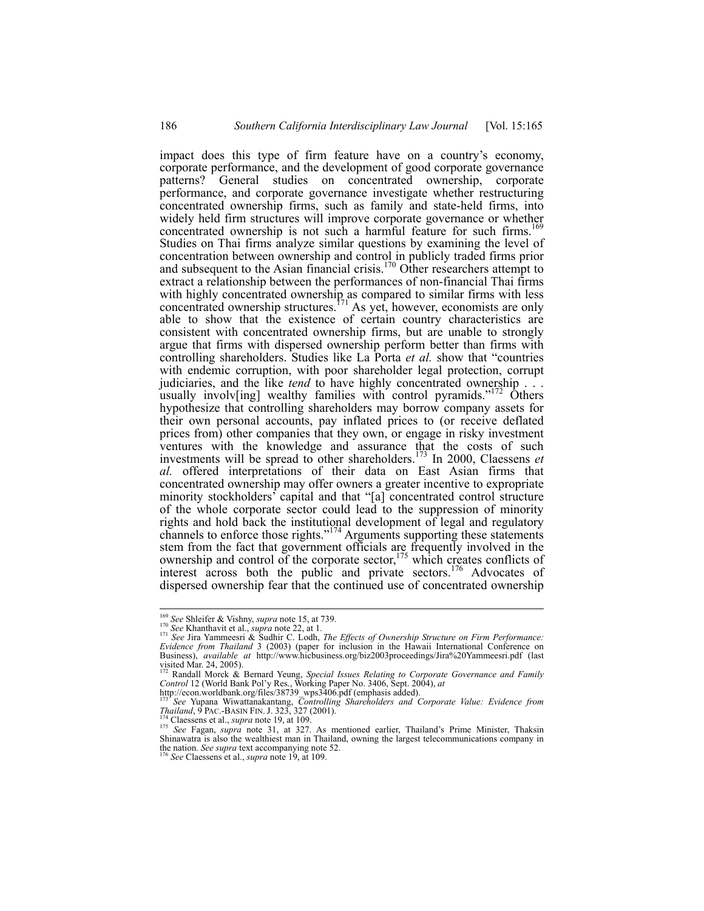impact does this type of firm feature have on a country's economy, corporate performance, and the development of good corporate governance patterns? General studies on concentrated ownership, corporate performance, and corporate governance investigate whether restructuring concentrated ownership firms, such as family and state-held firms, into widely held firm structures will improve corporate governance or whether concentrated ownership is not such a harmful feature for such firms.<sup>1</sup> Studies on Thai firms analyze similar questions by examining the level of concentration between ownership and control in publicly traded firms prior and subsequent to the Asian financial crisis.<sup>170</sup> Other researchers attempt to extract a relationship between the performances of non-financial Thai firms with highly concentrated ownership as compared to similar firms with less concentrated ownership structures.<sup>171</sup> As yet, however, economists are only able to show that the existence of certain country characteristics are consistent with concentrated ownership firms, but are unable to strongly argue that firms with dispersed ownership perform better than firms with controlling shareholders. Studies like La Porta *et al.* show that "countries with endemic corruption, with poor shareholder legal protection, corrupt judiciaries, and the like *tend* to have highly concentrated ownership . . . usually involv[ing] wealthy families with control pyramids."<sup>172</sup> Others hypothesize that controlling shareholders may borrow company assets for their own personal accounts, pay inflated prices to (or receive deflated prices from) other companies that they own, or engage in risky investment ventures with the knowledge and assurance that the costs of such investments will be spread to other shareholders.173 In 2000, Claessens *et al.* offered interpretations of their data on East Asian firms that concentrated ownership may offer owners a greater incentive to expropriate minority stockholders' capital and that "[a] concentrated control structure of the whole corporate sector could lead to the suppression of minority rights and hold back the institutional development of legal and regulatory channels to enforce those rights."174 Arguments supporting these statements stem from the fact that government officials are frequently involved in the ownership and control of the corporate sector,<sup>175</sup> which creates conflicts of interest across both the public and private sectors.<sup>176</sup> Advocates of dispersed ownership fear that the continued use of concentrated ownership

<sup>&</sup>lt;sup>169</sup> See Shleifer & Vishny, supra note 15, at 739.

<sup>&</sup>lt;sup>170</sup> See Shanthavit et al., *supra* note 22, at 1.<br><sup>170</sup> See Khanthavit et al., *supra* note 22, at 1.<br><sup>171</sup> See Jira Yammeesri & Soldhir C. Lodh, *The Effects of Ownership Structure on Firm Performance: Evidence from Thailand* 3 (2003) (paper for inclusion in the Hawaii International Conference on Business), *available at* http://www.hicbusiness.org/biz2003proceedings/Jira%20Yammeesri.pdf (last visited Mar. 24, 2005).

<sup>&</sup>lt;sup>172</sup> Randall Morck & Bernard Yeung, *Special Issues Relating to Corporate Governance and Family Control* 12 (World Bank Pol'y Res., Working Paper No. 3406, Sept. 2004), *at*<br>http://econ.worldbank.org/files/38739\_wps3406.

*Thailand*, 9 PAC.-BASIN FIN. J. 323, 327 (2001).<br><sup>174</sup> Claessens et al., *supra* note 19, at 109.<br><sup>175</sup> See Fagan, *supra* note 31, at 327. As mentioned earlier, Thailand's Prime Minister, Thaksin<br>Shinawatra is also the the nation. *See supra* text accompanying note 52. 176 *See* Claessens et al., *supra* note 19, at 109.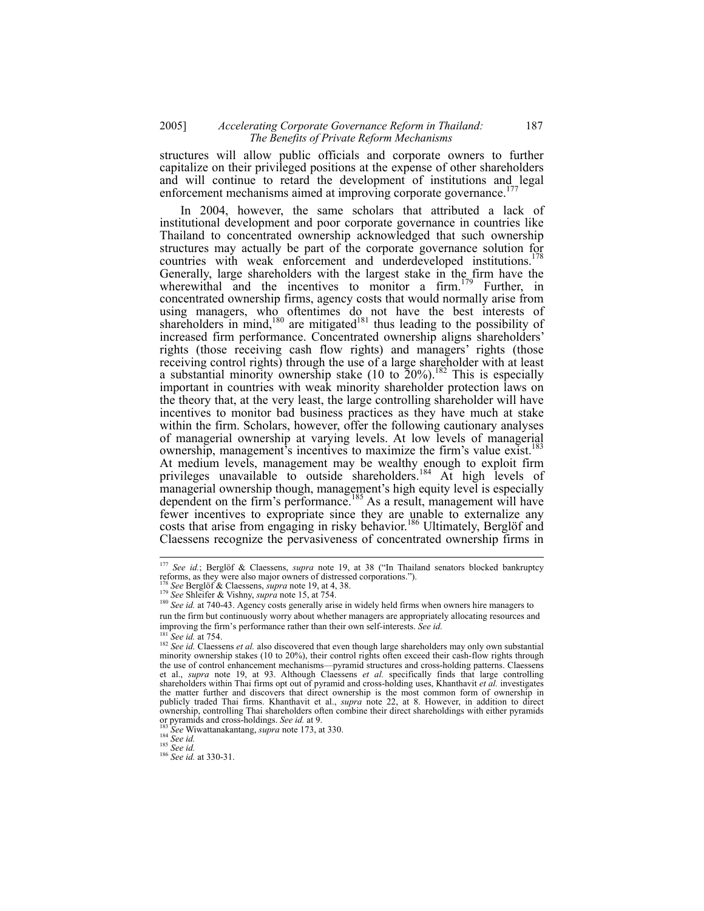## 2005] *Accelerating Corporate Governance Reform in Thailand:* 187  *The Benefits of Private Reform Mechanisms*

structures will allow public officials and corporate owners to further capitalize on their privileged positions at the expense of other shareholders and will continue to retard the development of institutions and legal enforcement mechanisms aimed at improving corporate governance.<sup>17</sup>

In 2004, however, the same scholars that attributed a lack of institutional development and poor corporate governance in countries like Thailand to concentrated ownership acknowledged that such ownership structures may actually be part of the corporate governance solution for countries with weak enforcement and underdeveloped institutions.<sup>178</sup> Generally, large shareholders with the largest stake in the firm have the wherewithal and the incentives to monitor a firm.<sup>179</sup> Further, in concentrated ownership firms, agency costs that would normally arise from using managers, who oftentimes do not have the best interests of shareholders in mind,<sup>180</sup> are mitigated<sup>181</sup> thus leading to the possibility of increased firm performance. Concentrated ownership aligns shareholders' rights (those receiving cash flow rights) and managers' rights (those receiving control rights) through the use of a large shareholder with at least a substantial minority ownership stake (10 to  $\tilde{2}0\%$ ).<sup>182</sup> This is especially important in countries with weak minority shareholder protection laws on the theory that, at the very least, the large controlling shareholder will have incentives to monitor bad business practices as they have much at stake within the firm. Scholars, however, offer the following cautionary analyses of managerial ownership at varying levels. At low levels of managerial ownership, management's incentives to maximize the firm's value exist.<sup>18</sup> At medium levels, management may be wealthy enough to exploit firm privileges unavailable to outside shareholders.<sup>184</sup> At high levels of managerial ownership though, management's high equity level is especially dependent on the firm's performance.<sup>185</sup> As a result, management will have fewer incentives to expropriate since they are unable to externalize any costs that arise from engaging in risky behavior.<sup>186</sup> Ultimately, Berglöf and Claessens recognize the pervasiveness of concentrated ownership firms in

<sup>183</sup> *See* Wiwattanakantang, *supra* note 173, at 330. <sup>184</sup> *See id.* 185 *See id.* at 330-31.

 $\overline{\phantom{a}}$ <sup>177</sup> *See id.*; Berglöf & Claessens, *supra* note 19, at 38 ("In Thailand senators blocked bankruptcy reforms, as they were also major owners of distressed corporations.").<br><sup>178</sup> See Berglöf & Claessens, *supra* note 19, at 4, 38.<br><sup>179</sup> See Shleifer & Vishny, *supra* note 15, at 754.<br><sup>180</sup> See id. at 740-43. Agency costs

run the firm but continuously worry about whether managers are appropriately allocating resources and improving the firm's performance rather than their own self-interests. *See id.*<br><sup>181</sup>.

<sup>&</sup>lt;sup>181</sup> *See id.* at 754. 182 *See id.* claessens *et al.* also discovered that even though large shareholders may only own substantial minority ownership stakes (10 to 20%), their control rights often exceed their cash-flow rights through the use of control enhancement mechanisms—pyramid structures and cross-holding patterns. Claessens et al., *supra* note 19, at 93. Although Claessens *et al.* specifically finds that large controlling shareholders within Thai firms opt out of pyramid and cross-holding uses, Khanthavit *et al.* investigates the matter further and discovers that direct ownership is the most common form of ownership in publicly traded Thai firms. Khanthavit et al., *supra* note 22, at 8. However, in addition to direct ownership, controlling Thai shareholders often combine their direct shareholdings with either pyramids or pyramids and cross-holdings. See id. at 9.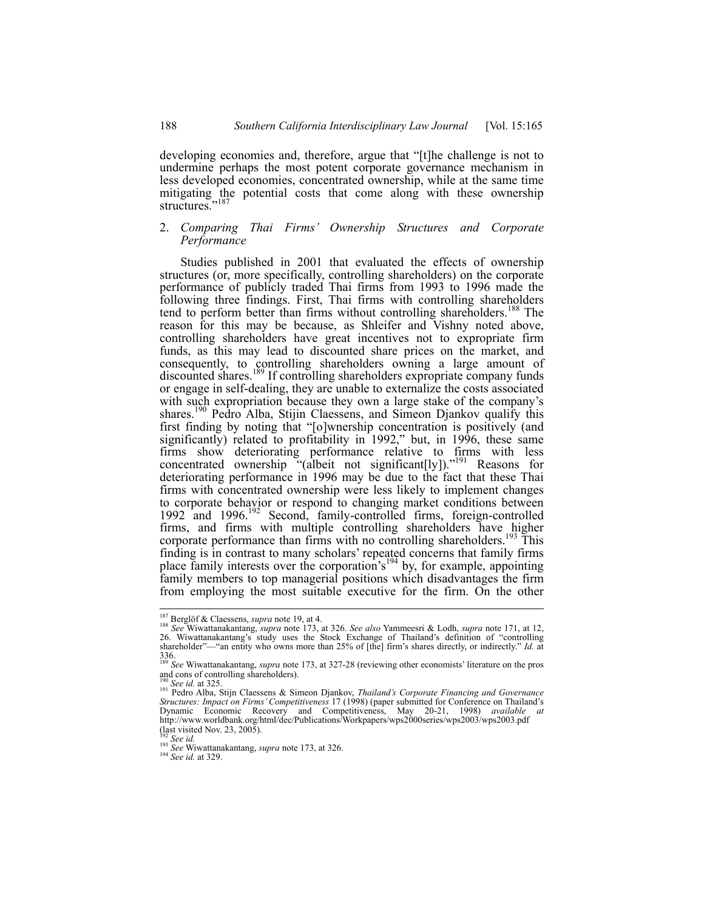developing economies and, therefore, argue that "[t]he challenge is not to undermine perhaps the most potent corporate governance mechanism in less developed economies, concentrated ownership, while at the same time mitigating the potential costs that come along with these ownership structures."<sup>187</sup>

#### 2. *Comparing Thai Firms' Ownership Structures and Corporate Performance*

Studies published in 2001 that evaluated the effects of ownership structures (or, more specifically, controlling shareholders) on the corporate performance of publicly traded Thai firms from 1993 to 1996 made the following three findings. First, Thai firms with controlling shareholders tend to perform better than firms without controlling shareholders.<sup>188</sup> The reason for this may be because, as Shleifer and Vishny noted above, controlling shareholders have great incentives not to expropriate firm funds, as this may lead to discounted share prices on the market, and consequently, to controlling shareholders owning a large amount of discounted shares.<sup>189</sup> If controlling shareholders expropriate company funds or engage in self-dealing, they are unable to externalize the costs associated with such expropriation because they own a large stake of the company's shares.<sup>190</sup> Pedro Alba, Stijin Claessens, and Simeon Djankov qualify this first finding by noting that "[o]wnership concentration is positively (and significantly) related to profitability in 1992," but, in 1996, these same firms show deteriorating performance relative to firms with less concentrated ownership "(albeit not significant[ly])."<sup>191</sup> Reasons for deteriorating performance in 1996 may be due to the fact that these Thai firms with concentrated ownership were less likely to implement changes to corporate behavior or respond to changing market conditions between 1992 and 1996.<sup>192</sup> Second, family-controlled firms, foreign-controlled firms, and firms with multiple controlling shareholders have higher corporate performance than firms with no controlling shareholders.<sup>193</sup> This finding is in contrast to many scholars' repeated concerns that family firms place family interests over the corporation's<sup>194</sup> by, for example, appointing family members to top managerial positions which disadvantages the firm from employing the most suitable executive for the firm. On the other

<sup>&</sup>lt;sup>187</sup> Berglöf & Claessens, *supra* note 19, at 4.

<sup>&</sup>lt;sup>187</sup> Berglöf & Claessens, *supra* note 19, at 4.<br><sup>188</sup> See Wiwattanakantang, *supra* note 173, at 326. See also Yammeesri & Lodh, *supra* note 171, at 12,<br>26. Wiwattanakantang's study uses the Stock Exchange of Thailand's shareholder"—"an entity who owns more than 25% of [the] firm's shares directly, or indirectly." *Id.* at 336. <sup>189</sup> *See* Wiwattanakantang, *supra* note 173, at 327-28 (reviewing other economists' literature on the pros

and cons of controlling shareholders).<br> $\frac{190}{190}$  See id. at 325.

<sup>190</sup> *See id.* at 325. 191 Pedro Alba, Stijn Claessens & Simeon Djankov, *Thailand's Corporate Financing and Governance Structures: Impact on Firms' Competitiveness* 17 (1998) (paper submitted for Conference on Thailand's Dynamic Economic Recovery and Competitiveness, May 20-21, 1998) *available at* http://www.worldbank.org/html/dec/Publications/Workpapers/wps2000series/wps2003/wps2003.pdf (last visited Nov. 23, 2005).<br> $\frac{1}{2}$  See id.

<sup>192</sup> *See id.* <sup>193</sup> *See* Wiwattanakantang, *supra* note 173, at 326. 194 *See id.* at 329.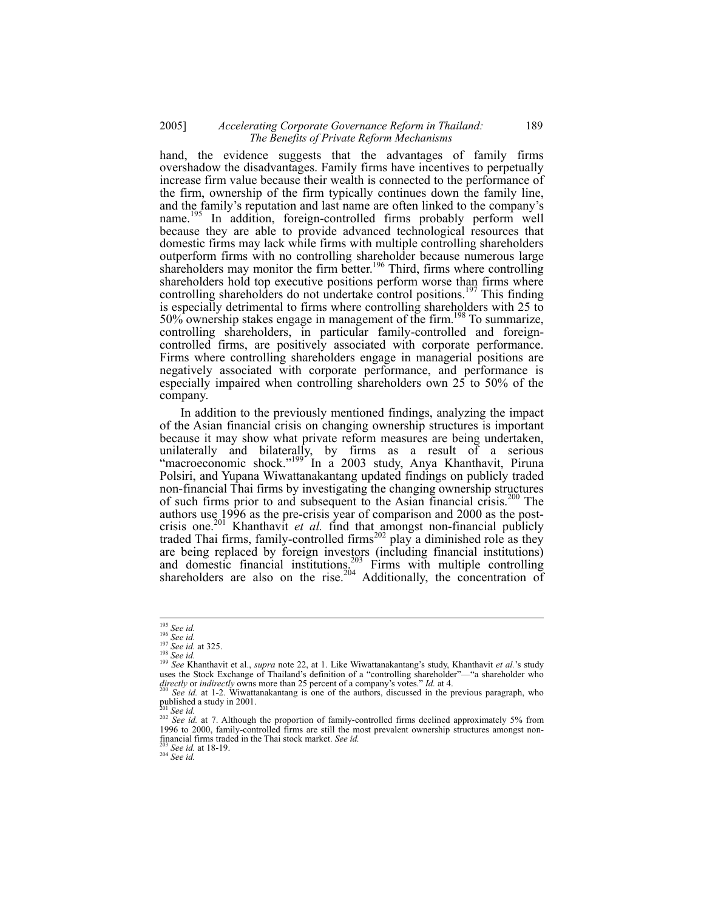## 2005] *Accelerating Corporate Governance Reform in Thailand:* 189  *The Benefits of Private Reform Mechanisms*

hand, the evidence suggests that the advantages of family firms overshadow the disadvantages. Family firms have incentives to perpetually increase firm value because their wealth is connected to the performance of the firm, ownership of the firm typically continues down the family line, and the family's reputation and last name are often linked to the company's name.<sup>195</sup> In addition, foreign-controlled firms probably perform well because they are able to provide advanced technological resources that domestic firms may lack while firms with multiple controlling shareholders outperform firms with no controlling shareholder because numerous large shareholders may monitor the firm better.<sup>196</sup> Third, firms where controlling shareholders hold top executive positions perform worse than firms where controlling shareholders do not undertake control positions.<sup>197</sup> This finding is especially detrimental to firms where controlling shareholders with 25 to  $50\%$  ownership stakes engage in management of the firm.<sup>198</sup> To summarize, controlling shareholders, in particular family-controlled and foreigncontrolled firms, are positively associated with corporate performance. Firms where controlling shareholders engage in managerial positions are negatively associated with corporate performance, and performance is especially impaired when controlling shareholders own 25 to 50% of the company.

In addition to the previously mentioned findings, analyzing the impact of the Asian financial crisis on changing ownership structures is important because it may show what private reform measures are being undertaken, unilaterally and bilaterally, by firms as a result of a serious "macroeconomic shock."<sup>199</sup> In a 2003 study, Anya Khanthavit, Piruna Polsiri, and Yupana Wiwattanakantang updated findings on publicly traded non-financial Thai firms by investigating the changing ownership structures of such firms prior to and subsequent to the Asian financial crisis.<sup>200</sup> The authors use 1996 as the pre-crisis year of comparison and 2000 as the postcrisis one.201 Khanthavit *et al.* find that amongst non-financial publicly traded Thai firms, family-controlled firms<sup>202</sup> play a diminished role as they are being replaced by foreign investors (including financial institutions) and domestic financial institutions.<sup>203</sup> Firms with multiple controlling shareholders are also on the rise.<sup>204</sup> Additionally, the concentration of

 $195$  See id.

<sup>&</sup>lt;sup>195</sup> See id.<br><sup>196</sup> See id.<br><sup>197</sup> See id.<br><sup>197</sup> See id.<br><sup>199</sup> See Khanthavit et al., *supra* note 22, at 1. Like Wiwattanakantang's study, Khanthavit *et al.*'s study uses the Stock Exchange of Thailand's definition of a "controlling shareholder"—"a shareholder who *directly* or *indirectly* owns more than 25 percent of a company's votes." *Id.* at 4.<br><sup>200</sup> *See id.* at 1-2. Wiwattanakantang is one of the authors, discussed in the previous paragraph, who

published a study in  $2001$ .

<sup>&</sup>lt;sup>201</sup> *See id.* at 7. Although the proportion of family-controlled firms declined approximately 5% from 202 *See id.* at 7. Although the proportion of family-controlled firms declined approximately 5% from 1996 to 2000, family-controlled firms are still the most prevalent ownership structures amongst nonfinancial firms traded in the Thai stock market. *See id.* <sup>203</sup> *See id.* at 18-19. 204 *See id.*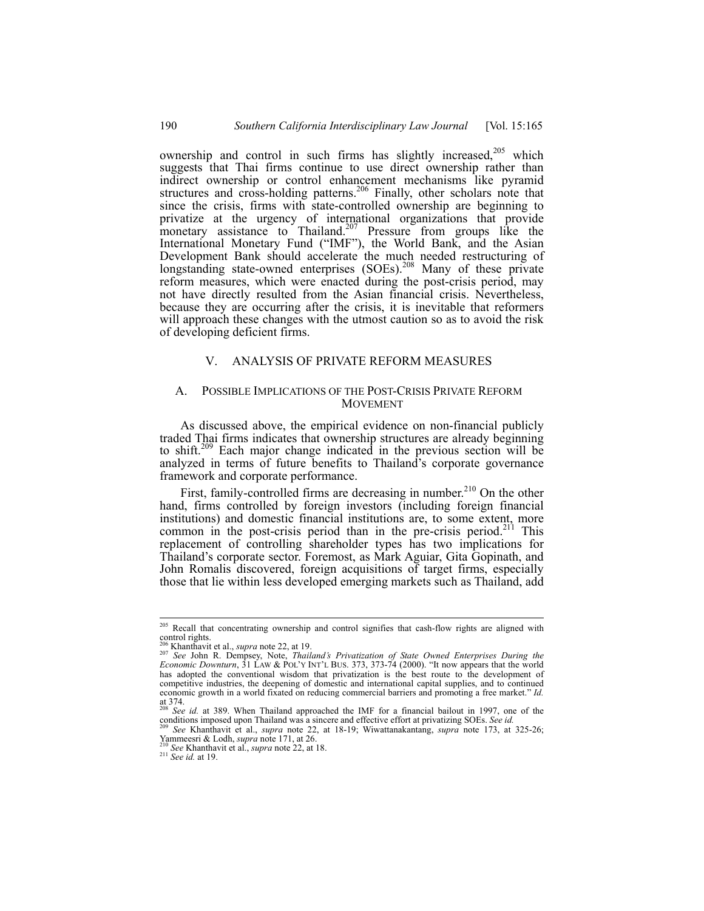ownership and control in such firms has slightly increased,<sup>205</sup> which suggests that Thai firms continue to use direct ownership rather than indirect ownership or control enhancement mechanisms like pyramid structures and cross-holding patterns.<sup>206</sup> Finally, other scholars note that since the crisis, firms with state-controlled ownership are beginning to privatize at the urgency of international organizations that provide monetary assistance to Thailand.<sup>207</sup> Pressure from groups like the International Monetary Fund ("IMF"), the World Bank, and the Asian Development Bank should accelerate the much needed restructuring of longstanding state-owned enterprises (SOEs).<sup>208</sup> Many of these private reform measures, which were enacted during the post-crisis period, may not have directly resulted from the Asian financial crisis. Nevertheless, because they are occurring after the crisis, it is inevitable that reformers will approach these changes with the utmost caution so as to avoid the risk of developing deficient firms.

## V. ANALYSIS OF PRIVATE REFORM MEASURES

#### A. POSSIBLE IMPLICATIONS OF THE POST-CRISIS PRIVATE REFORM MOVEMENT

As discussed above, the empirical evidence on non-financial publicly traded Thai firms indicates that ownership structures are already beginning to shift.209 Each major change indicated in the previous section will be analyzed in terms of future benefits to Thailand's corporate governance framework and corporate performance.

First, family-controlled firms are decreasing in number.<sup>210</sup> On the other hand, firms controlled by foreign investors (including foreign financial institutions) and domestic financial institutions are, to some extent, more common in the post-crisis period than in the pre-crisis period.<sup>211</sup> This replacement of controlling shareholder types has two implications for Thailand's corporate sector. Foremost, as Mark Aguiar, Gita Gopinath, and John Romalis discovered, foreign acquisitions of target firms, especially those that lie within less developed emerging markets such as Thailand, add

<sup>&</sup>lt;sup>205</sup> Recall that concentrating ownership and control signifies that cash-flow rights are aligned with control rights.

<sup>&</sup>lt;sup>206</sup> Khanthavit et al., *supra* note 22, at 19.<br><sup>207</sup> See John R. Dempsey, Note, *Thailand's Privatization of State Owned Enterprises During the*<br>*Economic Downturn*, 31 LAW & POL'Y INT'L BUS. 373, 373-74 (2000). "It now has adopted the conventional wisdom that privatization is the best route to the development of competitive industries, the deepening of domestic and international capital supplies, and to continued economic growth in a world fixated on reducing commercial barriers and promoting a free market." *Id.* at  $374.$ 

<sup>&</sup>lt;sup>208</sup> *See id.* at 389. When Thailand approached the IMF for a financial bailout in 1997, one of the conditions imposed upon Thailand was a sincere and effective effort at privatizing SOEs. *See id.* 

See Khanthavit et al., *supra* note 22, at 18-19; Wiwattanakantang, *supra* note 173, at 325-26; Yammeesri & Lodh, *supra* note 171, at 26.<br><sup>210</sup> *See* Khanthavit et al., *supra* note 22, at 18.<br><sup>211</sup> *See id.* at 19.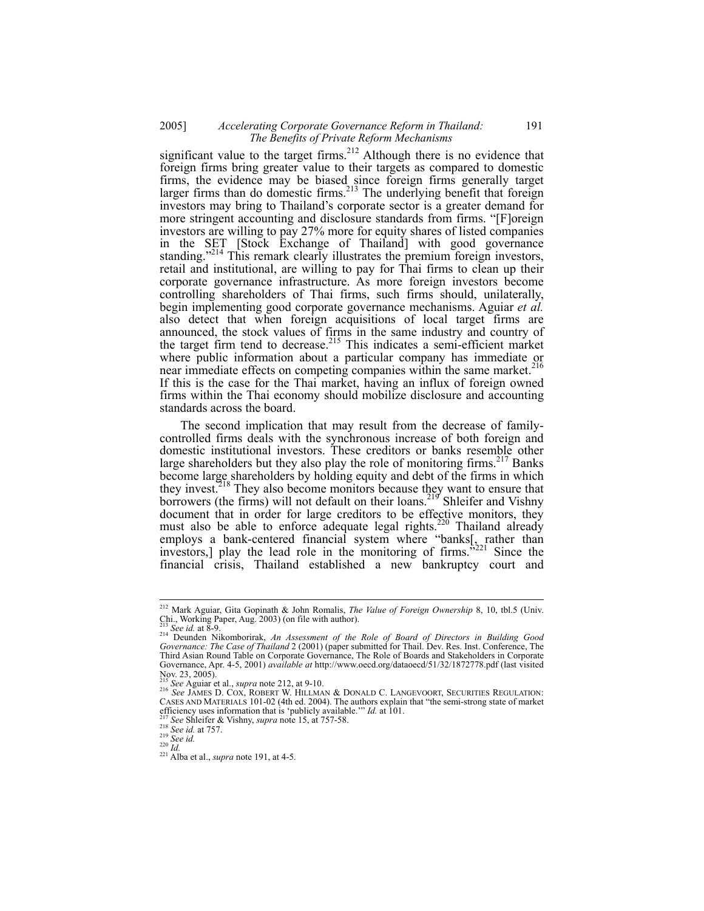# 2005] *Accelerating Corporate Governance Reform in Thailand:* 191  *The Benefits of Private Reform Mechanisms*

significant value to the target firms.<sup>212</sup> Although there is no evidence that foreign firms bring greater value to their targets as compared to domestic firms, the evidence may be biased since foreign firms generally target larger firms than do domestic firms.<sup>213</sup> The underlying benefit that foreign investors may bring to Thailand's corporate sector is a greater demand for more stringent accounting and disclosure standards from firms. "[F]oreign investors are willing to pay 27% more for equity shares of listed companies in the SET [Stock Exchange of Thailand] with good governance standing."<sup>214</sup> This remark clearly illustrates the premium foreign investors, retail and institutional, are willing to pay for Thai firms to clean up their corporate governance infrastructure. As more foreign investors become controlling shareholders of Thai firms, such firms should, unilaterally, begin implementing good corporate governance mechanisms. Aguiar *et al.* also detect that when foreign acquisitions of local target firms are announced, the stock values of firms in the same industry and country of the target firm tend to decrease.<sup>215</sup> This indicates a semi-efficient market where public information about a particular company has immediate or near immediate effects on competing companies within the same market.<sup>216</sup> If this is the case for the Thai market, having an influx of foreign owned firms within the Thai economy should mobilize disclosure and accounting standards across the board.

The second implication that may result from the decrease of familycontrolled firms deals with the synchronous increase of both foreign and domestic institutional investors. These creditors or banks resemble other large shareholders but they also play the role of monitoring firms.<sup>217</sup> Banks become large shareholders by holding equity and debt of the firms in which they invest.<sup>218</sup> They also become monitors because they want to ensure that borrowers (the firms) will not default on their loans.<sup>219</sup> Shleifer and Vishny document that in order for large creditors to be effective monitors, they must also be able to enforce adequate legal rights.<sup>220</sup> Thailand already employs a bank-centered financial system where "banks<sup>[</sup>, rather than investors,] play the lead role in the monitoring of firms.<sup>5221</sup> Since the financial crisis, Thailand established a new bankruptcy court and

<sup>212</sup> Mark Aguiar, Gita Gopinath & John Romalis, *The Value of Foreign Ownership* 8, 10, tbl.5 (Univ. Chi., Working Paper, Aug. 2003) (on file with author).<br><sup>213</sup> See id. at 8-9.

<sup>213</sup> *See id.* at 8-9. 214 Deunden Nikomborirak, *An Assessment of the Role of Board of Directors in Building Good Governance: The Case of Thailand* 2 (2001) (paper submitted for Thail. Dev. Res. Inst. Conference, The Third Asian Round Table on Corporate Governance, The Role of Boards and Stakeholders in Corporate Governance, Apr. 4-5, 2001) *available at* http://www.oecd.org/dataoecd/51/32/1872778.pdf (last visited Nov. 23, 2005).

<sup>&</sup>lt;sup>215</sup> See Aguiar et al., *supra* note 212, at 9-10.<br><sup>216</sup> See Aguiar et al., *supra* note 212, at 9-10.<br><sup>216</sup> See JAMES D. COX, ROBERT W. HILLMAN & DONALD C. LANGEVOORT, SECURITIES REGULATION: CASES AND MATERIALS 101-02 (4th ed. 2004). The authors explain that "the semi-strong state of market efficiency uses information that is 'publicly available.'" Id. at 101.<br>
<sup>217</sup> See Shleifer & Vishny, *supra* note 15, at 757-58.<br>
<sup>218</sup> See id. at 757.<br>
<sup>219</sup> See id. at 757.<br>
<sup>219</sup> See id. at 757.<br>
<sup>219</sup> See id. <br>
<sup>220</sup>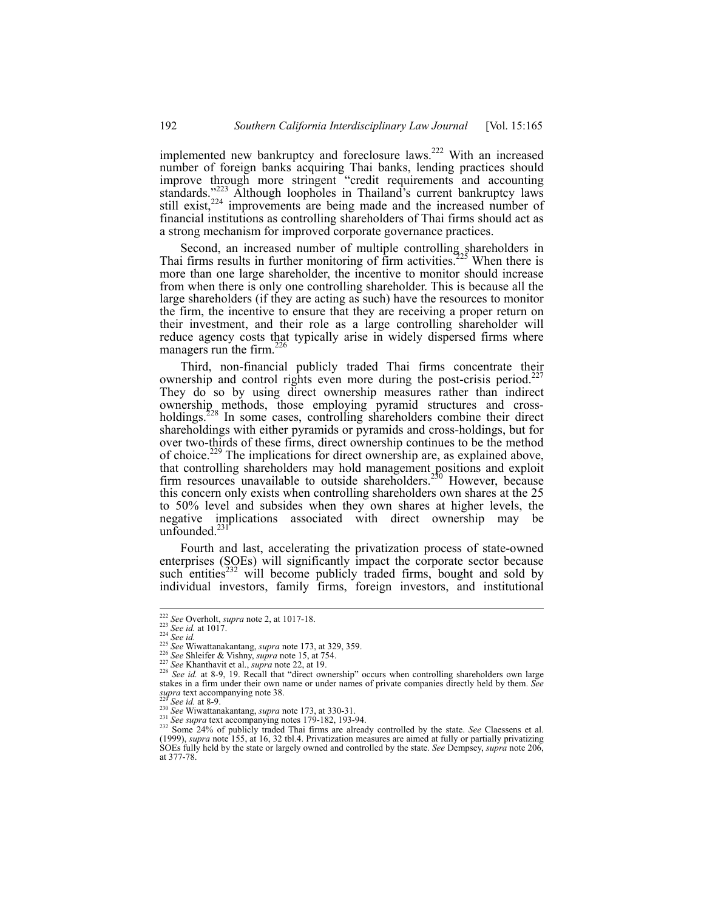implemented new bankruptcy and foreclosure laws.222 With an increased number of foreign banks acquiring Thai banks, lending practices should improve through more stringent "credit requirements and accounting standards."<sup>223</sup> Although loopholes in Thailand's current bankruptcy laws still exist, $224$  improvements are being made and the increased number of financial institutions as controlling shareholders of Thai firms should act as a strong mechanism for improved corporate governance practices.

Second, an increased number of multiple controlling shareholders in Thai firms results in further monitoring of firm activities.<sup> $225$ </sup> When there is more than one large shareholder, the incentive to monitor should increase from when there is only one controlling shareholder. This is because all the large shareholders (if they are acting as such) have the resources to monitor the firm, the incentive to ensure that they are receiving a proper return on their investment, and their role as a large controlling shareholder will reduce agency costs that typically arise in widely dispersed firms where managers run the firm.<sup>226</sup>

Third, non-financial publicly traded Thai firms concentrate their ownership and control rights even more during the post-crisis period.<sup>22</sup> They do so by using direct ownership measures rather than indirect ownership methods, those employing pyramid structures and crossholdings.<sup>228</sup> In some cases, controlling shareholders combine their direct shareholdings with either pyramids or pyramids and cross-holdings, but for over two-thirds of these firms, direct ownership continues to be the method of choice.229 The implications for direct ownership are, as explained above, that controlling shareholders may hold management positions and exploit firm resources unavailable to outside shareholders.<sup>230</sup> However, because this concern only exists when controlling shareholders own shares at the 25 to 50% level and subsides when they own shares at higher levels, the negative implications associated with direct ownership may be unfounded. $2$ 

Fourth and last, accelerating the privatization process of state-owned enterprises (SOEs) will significantly impact the corporate sector because such entities<sup>232</sup> will become publicly traded firms, bought and sold by individual investors, family firms, foreign investors, and institutional

<sup>&</sup>lt;sup>222</sup> See Overholt, supra note 2, at 1017-18.

<sup>&</sup>lt;sup>223</sup> See id. at 1017.<br>
<sup>223</sup> See id. at 1017.<br>
<sup>224</sup> See id.<br>
<sup>225</sup> See Collustianakantang, *supra* note 173, at 329, 359.<br>
<sup>226</sup> See Shleifer & Vishny, *supra* note 15, at 754.<br>
<sup>226</sup> See Khanthavit et al., *supra* note stakes in a firm under their own name or under names of private companies directly held by them. *See*

See id. at 8-9.<br>
<sup>230</sup> See id. at 8-9.<br>
<sup>230</sup> See Wiwattanakantang, *supra* note 173, at 330-31.<br>
<sup>231</sup> See Wiwattanakantang, *supra* note 179-182, 193-94.<br>
<sup>232</sup> Some 24% of publicly traded Thai firms are already control (1999), *supra* note 155, at 16, 32 tbl.4. Privatization measures are aimed at fully or partially privatizing SOEs fully held by the state or largely owned and controlled by the state. See Dempsey, *supra* note 206, at 377-78.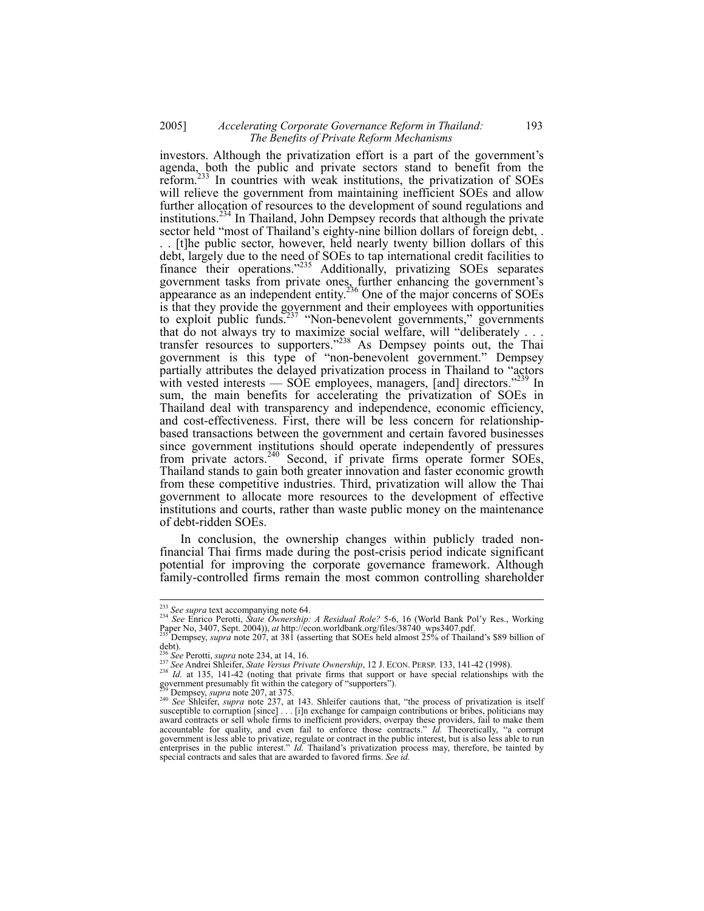## 2005] *Accelerating Corporate Governance Reform in Thailand:* 193  *The Benefits of Private Reform Mechanisms*

investors. Although the privatization effort is a part of the government's agenda, both the public and private sectors stand to benefit from the reform.233 In countries with weak institutions, the privatization of SOEs will relieve the government from maintaining inefficient SOEs and allow further allocation of resources to the development of sound regulations and institutions.<sup>234</sup> In Thailand, John Dempsey records that although the private sector held "most of Thailand's eighty-nine billion dollars of foreign debt, .

. . [t]he public sector, however, held nearly twenty billion dollars of this debt, largely due to the need of SOEs to tap international credit facilities to finance their operations."<sup>235</sup> Additionally, privatizing SOEs separates government tasks from private ones, further enhancing the government's appearance as an independent entity.<sup>236</sup> One of the major concerns of SOEs is that they provide the government and their employees with opportunities to exploit public funds.<sup>237</sup> "Non-benevolent governments," governments that do not always try to maximize social welfare, will "deliberately . . . transfer resources to supporters."<sup>238</sup> As Dempsey points out, the Thai government is this type of "non-benevolent government." Dempsey partially attributes the delayed privatization process in Thailand to "actors with vested interests — SOE employees, managers, [and] directors."<sup>239</sup> In sum, the main benefits for accelerating the privatization of SOEs in Thailand deal with transparency and independence, economic efficiency, and cost-effectiveness. First, there will be less concern for relationshipbased transactions between the government and certain favored businesses since government institutions should operate independently of pressures from private actors.<sup>240</sup> Second, if private firms operate former SOEs, Thailand stands to gain both greater innovation and faster economic growth from these competitive industries. Third, privatization will allow the Thai government to allocate more resources to the development of effective institutions and courts, rather than waste public money on the maintenance of debt-ridden SOEs.

In conclusion, the ownership changes within publicly traded nonfinancial Thai firms made during the post-crisis period indicate significant potential for improving the corporate governance framework. Although family-controlled firms remain the most common controlling shareholder

<sup>&</sup>lt;sup>233</sup> See supra text accompanying note 64.

<sup>233</sup> *See supra* text accompanying note 64. 234 *See* Enrico Perotti, *State Ownership: A Residual Role?* 5-6, 16 (World Bank Pol'y Res., Working Paper No, 3407, Sept. 2004)), *at* http://econ.worldbank.org/files/38740\_wps3407.pdf. 235 Dempsey, *supra* note 207, at 381 (asserting that SOEs held almost 25% of Thailand's \$89 billion of

debt).

<sup>&</sup>lt;sup>236</sup> See Perotti, *supra* note 234, at 14, 16.<br><sup>237</sup> See Andrei Shleifer, *State Versus Private Ownership*, 12 J. ECON. PERSP. 133, 141-42 (1998).<br><sup>238</sup> Id. at 135, 141-42 (noting that private firms that support or have government presumably fit within the category of "supporters").<br><sup>239</sup> Dempsey, *supra* note 207, at 375.

<sup>239</sup> Dempsey, *supra* note 207, at 375. 240 *See* Shleifer, *supra* note 237, at 143. Shleifer cautions that, "the process of privatization is itself susceptible to corruption [since] . . . [i]n exchange for campaign contributions or bribes, politicians may award contracts or sell whole firms to inefficient providers, overpay these providers, fail to make them accountable for quality, and even fail to enforce those contracts." *Id.* Theoretically, "a corrupt government is less able to privatize, regulate or contract in the public interest, but is also less able to run enterprises in the public interest." *Id.* Thailand's privatization process may, therefore, be tainted by special contracts and sales that are awarded to favored firms. *See id.*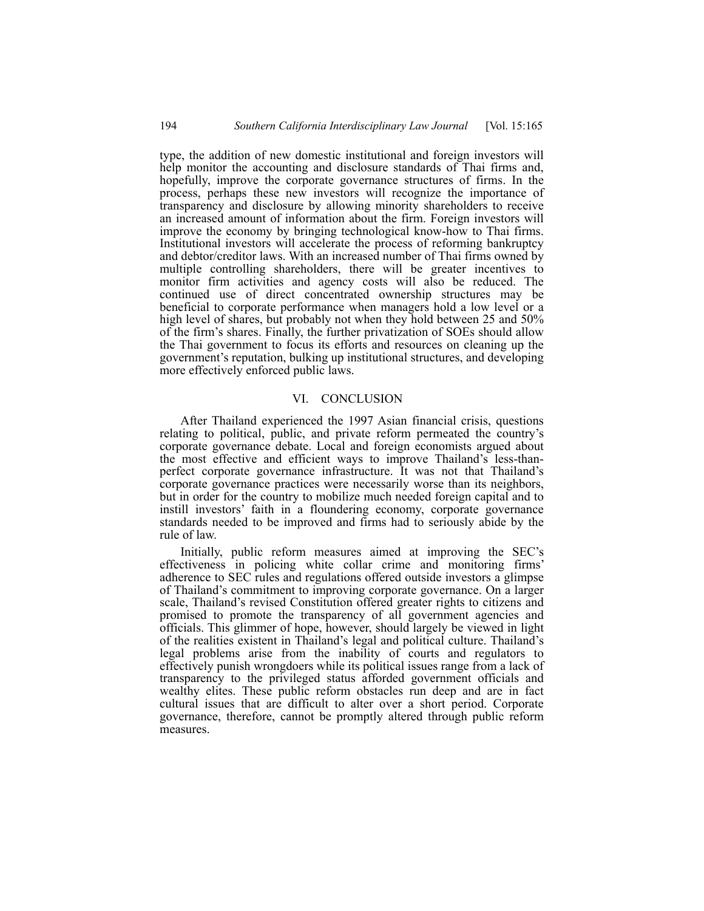type, the addition of new domestic institutional and foreign investors will help monitor the accounting and disclosure standards of Thai firms and, hopefully, improve the corporate governance structures of firms. In the process, perhaps these new investors will recognize the importance of transparency and disclosure by allowing minority shareholders to receive an increased amount of information about the firm. Foreign investors will improve the economy by bringing technological know-how to Thai firms. Institutional investors will accelerate the process of reforming bankruptcy and debtor/creditor laws. With an increased number of Thai firms owned by multiple controlling shareholders, there will be greater incentives to monitor firm activities and agency costs will also be reduced. The continued use of direct concentrated ownership structures may be beneficial to corporate performance when managers hold a low level or a high level of shares, but probably not when they hold between 25 and 50% of the firm's shares. Finally, the further privatization of SOEs should allow the Thai government to focus its efforts and resources on cleaning up the government's reputation, bulking up institutional structures, and developing more effectively enforced public laws.

## VI. CONCLUSION

After Thailand experienced the 1997 Asian financial crisis, questions relating to political, public, and private reform permeated the country's corporate governance debate. Local and foreign economists argued about the most effective and efficient ways to improve Thailand's less-thanperfect corporate governance infrastructure. It was not that Thailand's corporate governance practices were necessarily worse than its neighbors, but in order for the country to mobilize much needed foreign capital and to instill investors' faith in a floundering economy, corporate governance standards needed to be improved and firms had to seriously abide by the rule of law.

Initially, public reform measures aimed at improving the SEC's effectiveness in policing white collar crime and monitoring firms' adherence to SEC rules and regulations offered outside investors a glimpse of Thailand's commitment to improving corporate governance. On a larger scale, Thailand's revised Constitution offered greater rights to citizens and promised to promote the transparency of all government agencies and officials. This glimmer of hope, however, should largely be viewed in light of the realities existent in Thailand's legal and political culture. Thailand's legal problems arise from the inability of courts and regulators to effectively punish wrongdoers while its political issues range from a lack of transparency to the privileged status afforded government officials and wealthy elites. These public reform obstacles run deep and are in fact cultural issues that are difficult to alter over a short period. Corporate governance, therefore, cannot be promptly altered through public reform measures.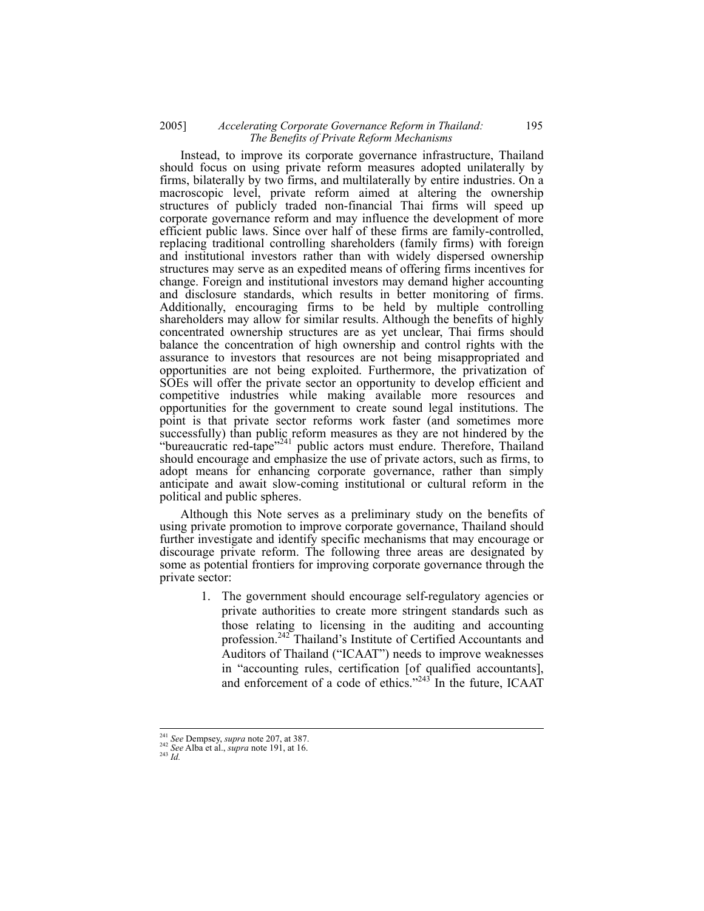## 2005] *Accelerating Corporate Governance Reform in Thailand:* 195  *The Benefits of Private Reform Mechanisms*

Instead, to improve its corporate governance infrastructure, Thailand should focus on using private reform measures adopted unilaterally by firms, bilaterally by two firms, and multilaterally by entire industries. On a macroscopic level, private reform aimed at altering the ownership structures of publicly traded non-financial Thai firms will speed up corporate governance reform and may influence the development of more efficient public laws. Since over half of these firms are family-controlled, replacing traditional controlling shareholders (family firms) with foreign and institutional investors rather than with widely dispersed ownership structures may serve as an expedited means of offering firms incentives for change. Foreign and institutional investors may demand higher accounting and disclosure standards, which results in better monitoring of firms. Additionally, encouraging firms to be held by multiple controlling shareholders may allow for similar results. Although the benefits of highly concentrated ownership structures are as yet unclear, Thai firms should balance the concentration of high ownership and control rights with the assurance to investors that resources are not being misappropriated and opportunities are not being exploited. Furthermore, the privatization of SOEs will offer the private sector an opportunity to develop efficient and competitive industries while making available more resources and opportunities for the government to create sound legal institutions. The point is that private sector reforms work faster (and sometimes more successfully) than public reform measures as they are not hindered by the "bureaucratic red-tape"<sup>241</sup> public actors must endure. Therefore, Thailand should encourage and emphasize the use of private actors, such as firms, to adopt means for enhancing corporate governance, rather than simply anticipate and await slow-coming institutional or cultural reform in the political and public spheres.

Although this Note serves as a preliminary study on the benefits of using private promotion to improve corporate governance, Thailand should further investigate and identify specific mechanisms that may encourage or discourage private reform. The following three areas are designated by some as potential frontiers for improving corporate governance through the private sector:

> 1. The government should encourage self-regulatory agencies or private authorities to create more stringent standards such as those relating to licensing in the auditing and accounting profession.<sup>242</sup> Thailand's Institute of Certified Accountants and Auditors of Thailand ("ICAAT") needs to improve weaknesses in "accounting rules, certification [of qualified accountants], and enforcement of a code of ethics."<sup>243</sup> In the future, ICAAT

<sup>241</sup> *See* Dempsey, *supra* note 207, at 387. 242 *See* Alba et al., *supra* note 191, at 16. 243 *Id.*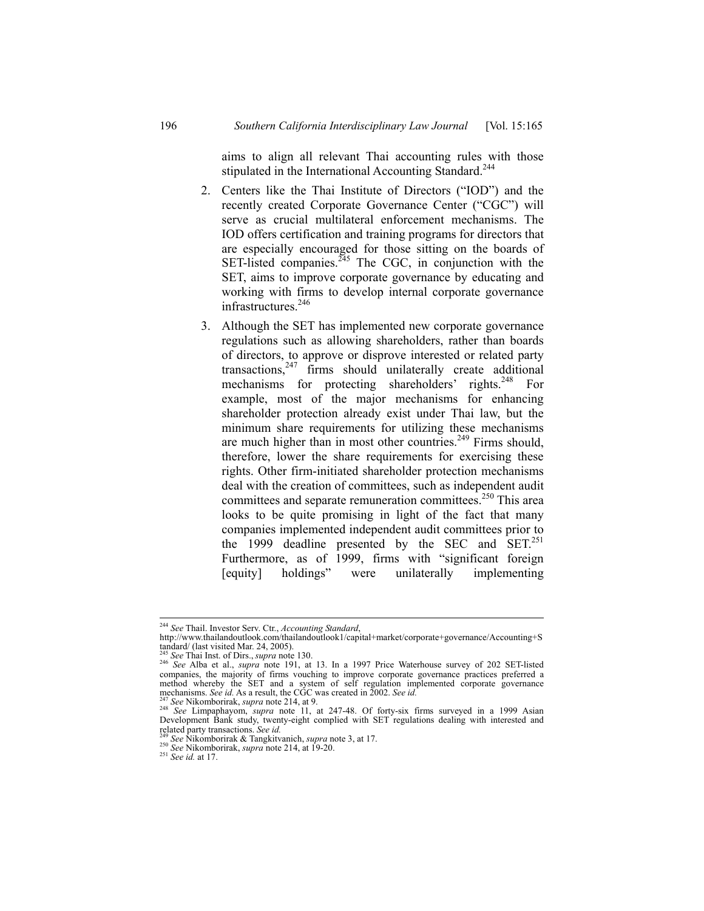aims to align all relevant Thai accounting rules with those stipulated in the International Accounting Standard.<sup>244</sup>

- 2. Centers like the Thai Institute of Directors ("IOD") and the recently created Corporate Governance Center ("CGC") will serve as crucial multilateral enforcement mechanisms. The IOD offers certification and training programs for directors that are especially encouraged for those sitting on the boards of SET-listed companies. $245$  The CGC, in conjunction with the SET, aims to improve corporate governance by educating and working with firms to develop internal corporate governance infrastructures.<sup>246</sup>
- 3. Although the SET has implemented new corporate governance regulations such as allowing shareholders, rather than boards of directors, to approve or disprove interested or related party transactions,<sup>247</sup> firms should unilaterally create additional mechanisms for protecting shareholders' rights.<sup>248</sup> For example, most of the major mechanisms for enhancing shareholder protection already exist under Thai law, but the minimum share requirements for utilizing these mechanisms are much higher than in most other countries.<sup>249</sup> Firms should, therefore, lower the share requirements for exercising these rights. Other firm-initiated shareholder protection mechanisms deal with the creation of committees, such as independent audit committees and separate remuneration committees.<sup>250</sup> This area looks to be quite promising in light of the fact that many companies implemented independent audit committees prior to the 1999 deadline presented by the SEC and SET. $^{251}$ Furthermore, as of 1999, firms with "significant foreign [equity] holdings" were unilaterally implementing

<sup>&</sup>lt;sup>244</sup> See Thail. Investor Serv. Ctr., Accounting Standard,

<sup>244</sup> *See* Thail. Investor Serv. Ctr., *Accounting Standard*, http://www.thailandoutlook.com/thailandoutlook1/capital+market/corporate+governance/Accounting+S tandard/ (last visited Mar. 24, 2005).<br><sup>245</sup> See Thai Inst. of Dirs., *supra* note 130.

<sup>245</sup> *See* Thai Inst. of Dirs., *supra* note 130. 246 *See* Alba et al., *supra* note 191, at 13. In a 1997 Price Waterhouse survey of 202 SET-listed companies, the majority of firms vouching to improve corporate governance practices preferred a method whereby the SET and a system of self regulation implemented corporate governance<br>method whereby the SET and a system of self regulation implemented corporate governance<br> $\frac{247}{6}$  Canalisms. See id. As a result, t

mechanisms. See id. As a result, the CGC was created in 2002. See id.<br><sup>247</sup> See Nikomborirak, *supra* note 214, at 9.<br><sup>248</sup> See Limpaphayom, *supra* note 11, at 247-48. Of forty-six firms surveyed in a 1999 Asian<br>Developm related party transactions. *See id.* <sup>249</sup> *See* Nikomborirak & Tangkitvanich, *supra* note 3, at 17. 250 *See* Nikomborirak, *supra* note 214, at 19-20. 251 *See id.* at 17.